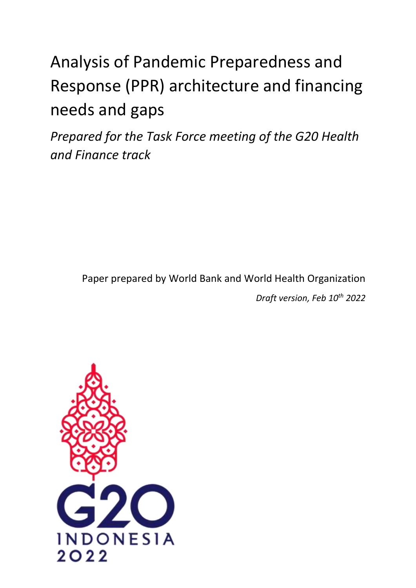# Analysis of Pandemic Preparedness and Response (PPR) architecture and financing needs and gaps

*Prepared for the Task Force meeting of the G20 Health and Finance track*

Paper prepared by World Bank and World Health Organization

*Draft version, Feb 10th 2022* 

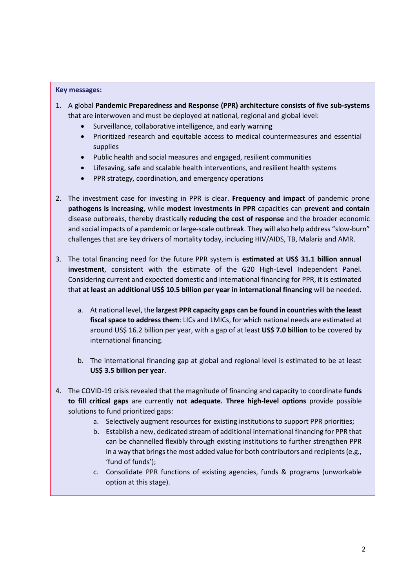#### **Key messages:**

- 1. A global **Pandemic Preparedness and Response (PPR) architecture consists of five sub-systems** that are interwoven and must be deployed at national, regional and global level:
	- Surveillance, collaborative intelligence, and early warning
	- Prioritized research and equitable access to medical countermeasures and essential supplies
	- Public health and social measures and engaged, resilient communities
	- Lifesaving, safe and scalable health interventions, and resilient health systems
	- PPR strategy, coordination, and emergency operations
- 2. The investment case for investing in PPR is clear. **Frequency and impact** of pandemic prone **pathogens is increasing**, while **modest investments in PPR** capacities can **prevent and contain**  disease outbreaks, thereby drastically **reducing the cost of response** and the broader economic and social impacts of a pandemic or large-scale outbreak. They will also help address "slow-burn" challenges that are key drivers of mortality today, including HIV/AIDS, TB, Malaria and AMR.
- 3. The total financing need for the future PPR system is **estimated at US\$ 31.1 billion annual investment**, consistent with the estimate of the G20 High-Level Independent Panel. Considering current and expected domestic and international financing for PPR, it is estimated that **at least an additional US\$ 10.5 billion per year in international financing** will be needed.
	- a. At national level, the **largest PPR capacity gaps can be found in countries with the least fiscal space to address them**: LICs and LMICs, for which national needs are estimated at around US\$ 16.2 billion per year, with a gap of at least **US\$ 7.0 billion** to be covered by international financing.
	- b. The international financing gap at global and regional level is estimated to be at least **US\$ 3.5 billion per year**.
- 4. The COVID-19 crisis revealed that the magnitude of financing and capacity to coordinate **funds to fill critical gaps** are currently **not adequate. Three high-level options** provide possible solutions to fund prioritized gaps:
	- a. Selectively augment resources for existing institutions to support PPR priorities;
	- b. Establish a new, dedicated stream of additional international financing for PPR that can be channelled flexibly through existing institutions to further strengthen PPR in a way that brings the most added value for both contributors and recipients (e.g., 'fund of funds');
	- c. Consolidate PPR functions of existing agencies, funds & programs (unworkable option at this stage).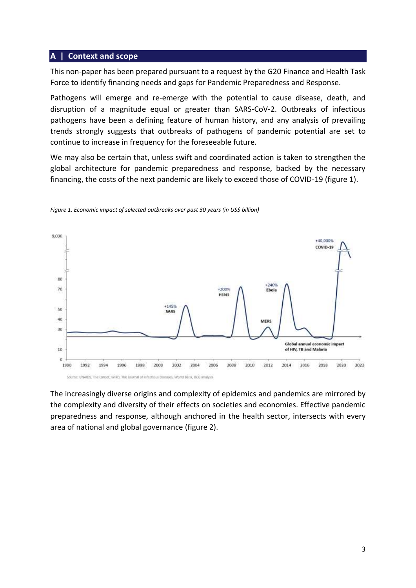#### **A | Context and scope**

This non-paper has been prepared pursuant to a request by the G20 Finance and Health Task Force to identify financing needs and gaps for Pandemic Preparedness and Response.

Pathogens will emerge and re-emerge with the potential to cause disease, death, and disruption of a magnitude equal or greater than SARS-CoV-2. Outbreaks of infectious pathogens have been a defining feature of human history, and any analysis of prevailing trends strongly suggests that outbreaks of pathogens of pandemic potential are set to continue to increase in frequency for the foreseeable future.

We may also be certain that, unless swift and coordinated action is taken to strengthen the global architecture for pandemic preparedness and response, backed by the necessary financing, the costs of the next pandemic are likely to exceed those of COVID-19 (figure 1).





The increasingly diverse origins and complexity of epidemics and pandemics are mirrored by the complexity and diversity of their effects on societies and economies. Effective pandemic preparedness and response, although anchored in the health sector, intersects with every area of national and global governance (figure 2).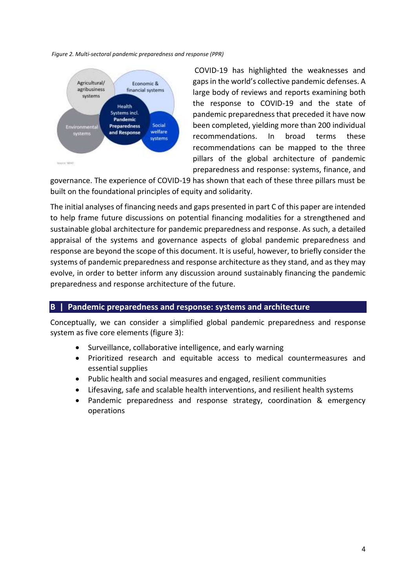#### *Figure 2. Multi-sectoral pandemic preparedness and response (PPR)*



COVID-19 has highlighted the weaknesses and gaps in the world's collective pandemic defenses. A large body of reviews and reports examining both the response to COVID-19 and the state of pandemic preparedness that preceded it have now been completed, yielding more than 200 individual recommendations. In broad terms these recommendations can be mapped to the three pillars of the global architecture of pandemic preparedness and response: systems, finance, and

governance. The experience of COVID-19 has shown that each of these three pillars must be built on the foundational principles of equity and solidarity.

The initial analyses of financing needs and gaps presented in part C of this paper are intended to help frame future discussions on potential financing modalities for a strengthened and sustainable global architecture for pandemic preparedness and response. As such, a detailed appraisal of the systems and governance aspects of global pandemic preparedness and response are beyond the scope of this document. It is useful, however, to briefly consider the systems of pandemic preparedness and response architecture as they stand, and as they may evolve, in order to better inform any discussion around sustainably financing the pandemic preparedness and response architecture of the future.

# **B | Pandemic preparedness and response: systems and architecture**

Conceptually, we can consider a simplified global pandemic preparedness and response system as five core elements (figure 3):

- Surveillance, collaborative intelligence, and early warning
- Prioritized research and equitable access to medical countermeasures and essential supplies
- Public health and social measures and engaged, resilient communities
- Lifesaving, safe and scalable health interventions, and resilient health systems
- Pandemic preparedness and response strategy, coordination & emergency operations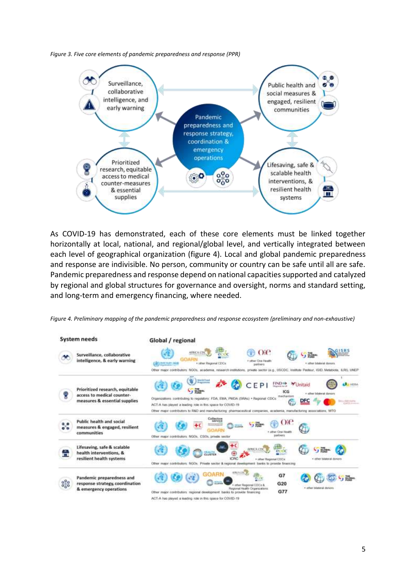*Figure 3. Five core elements of pandemic preparedness and response (PPR)*



As COVID-19 has demonstrated, each of these core elements must be linked together horizontally at local, national, and regional/global level, and vertically integrated between each level of geographical organization (figure 4). Local and global pandemic preparedness and response are indivisible. No person, community or country can be safe until all are safe. Pandemic preparedness and response depend on national capacities supported and catalyzed by regional and global structures for governance and oversight, norms and standard setting, and long-term and emergency financing, where needed.

*Figure 4. Preliminary mapping of the pandemic preparedness and response ecosystem (preliminary and non-exhaustive)*

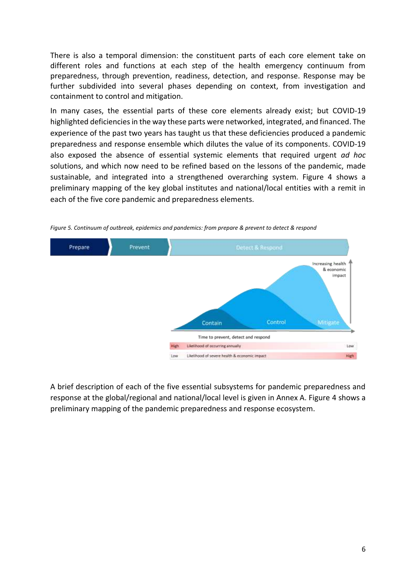There is also a temporal dimension: the constituent parts of each core element take on different roles and functions at each step of the health emergency continuum from preparedness, through prevention, readiness, detection, and response. Response may be further subdivided into several phases depending on context, from investigation and containment to control and mitigation.

In many cases, the essential parts of these core elements already exist; but COVID-19 highlighted deficiencies in the way these parts were networked, integrated, and financed. The experience of the past two years has taught us that these deficiencies produced a pandemic preparedness and response ensemble which dilutes the value of its components. COVID-19 also exposed the absence of essential systemic elements that required urgent *ad hoc* solutions, and which now need to be refined based on the lessons of the pandemic, made sustainable, and integrated into a strengthened overarching system. Figure 4 shows a preliminary mapping of the key global institutes and national/local entities with a remit in each of the five core pandemic and preparedness elements.



*Figure 5. Continuum of outbreak, epidemics and pandemics: from prepare & prevent to detect & respond* 

A brief description of each of the five essential subsystems for pandemic preparedness and response at the global/regional and national/local level is given in Annex A. Figure 4 shows a preliminary mapping of the pandemic preparedness and response ecosystem.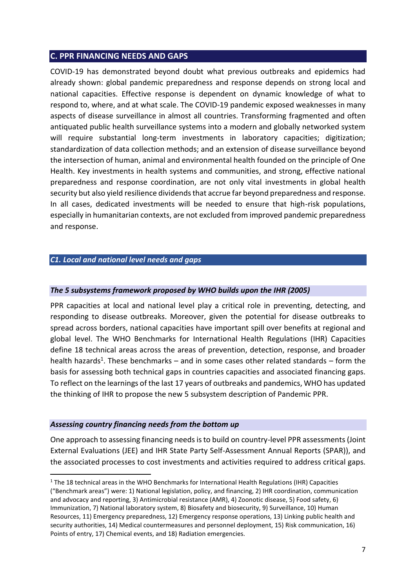### **C. PPR FINANCING NEEDS AND GAPS**

COVID-19 has demonstrated beyond doubt what previous outbreaks and epidemics had already shown: global pandemic preparedness and response depends on strong local and national capacities. Effective response is dependent on dynamic knowledge of what to respond to, where, and at what scale. The COVID-19 pandemic exposed weaknesses in many aspects of disease surveillance in almost all countries. Transforming fragmented and often antiquated public health surveillance systems into a modern and globally networked system will require substantial long-term investments in laboratory capacities; digitization; standardization of data collection methods; and an extension of disease surveillance beyond the intersection of human, animal and environmental health founded on the principle of One Health. Key investments in health systems and communities, and strong, effective national preparedness and response coordination, are not only vital investments in global health security but also yield resilience dividends that accrue far beyond preparedness and response. In all cases, dedicated investments will be needed to ensure that high-risk populations, especially in humanitarian contexts, are not excluded from improved pandemic preparedness and response.

# *C1. Local and national level needs and gaps*

#### *The 5 subsystems framework proposed by WHO builds upon the IHR (2005)*

PPR capacities at local and national level play a critical role in preventing, detecting, and responding to disease outbreaks. Moreover, given the potential for disease outbreaks to spread across borders, national capacities have important spill over benefits at regional and global level. The WHO Benchmarks for International Health Regulations (IHR) Capacities define 18 technical areas across the areas of prevention, detection, response, and broader health hazards<sup>1</sup>. These benchmarks – and in some cases other related standards – form the basis for assessing both technical gaps in countries capacities and associated financing gaps. To reflect on the learnings of the last 17 years of outbreaks and pandemics, WHO has updated the thinking of IHR to propose the new 5 subsystem description of Pandemic PPR.

#### *Assessing country financing needs from the bottom up*

**.** 

One approach to assessing financing needs is to build on country-level PPR assessments (Joint External Evaluations (JEE) and IHR State Party Self-Assessment Annual Reports (SPAR)), and the associated processes to cost investments and activities required to address critical gaps.

 $<sup>1</sup>$  The 18 technical areas in the WHO Benchmarks for International Health Regulations (IHR) Capacities</sup> ("Benchmark areas") were: 1) National legislation, policy, and financing, 2) IHR coordination, communication and advocacy and reporting, 3) Antimicrobial resistance (AMR), 4) Zoonotic disease, 5) Food safety, 6) Immunization, 7) National laboratory system, 8) Biosafety and biosecurity, 9) Surveillance, 10) Human Resources, 11) Emergency preparedness, 12) Emergency response operations, 13) Linking public health and security authorities, 14) Medical countermeasures and personnel deployment, 15) Risk communication, 16) Points of entry, 17) Chemical events, and 18) Radiation emergencies.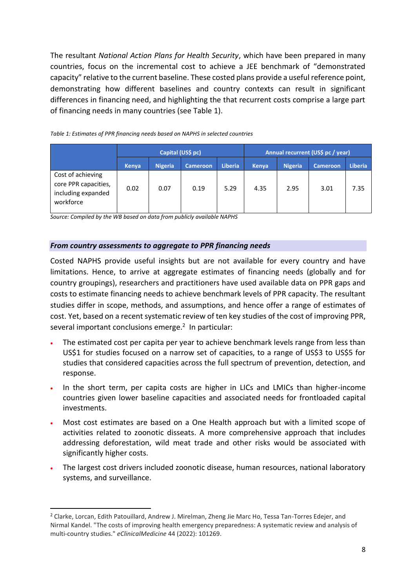The resultant *National Action Plans for Health Security*, which have been prepared in many countries, focus on the incremental cost to achieve a JEE benchmark of "demonstrated capacity" relative to the current baseline. These costed plans provide a useful reference point, demonstrating how different baselines and country contexts can result in significant differences in financing need, and highlighting the that recurrent costs comprise a large part of financing needs in many countries (see Table 1).

|                                                                              |              | Capital (US\$ pc) |                 | Annual recurrent (US\$ pc / year) |              |                |                 |                |
|------------------------------------------------------------------------------|--------------|-------------------|-----------------|-----------------------------------|--------------|----------------|-----------------|----------------|
|                                                                              | <b>Kenya</b> | <b>Nigeria</b>    | <b>Cameroon</b> | <b>Liberia</b>                    | <b>Kenya</b> | <b>Nigeria</b> | <b>Cameroon</b> | <b>Liberia</b> |
| Cost of achieving<br>core PPR capacities,<br>including expanded<br>workforce | 0.02         | 0.07              | 0.19            | 5.29                              | 4.35         | 2.95           | 3.01            | 7.35           |

*Table 1: Estimates of PPR financing needs based on NAPHS in selected countries*

*Source: Compiled by the WB based on data from publicly available NAPHS*

**.** 

#### *From country assessments to aggregate to PPR financing needs*

Costed NAPHS provide useful insights but are not available for every country and have limitations. Hence, to arrive at aggregate estimates of financing needs (globally and for country groupings), researchers and practitioners have used available data on PPR gaps and costs to estimate financing needs to achieve benchmark levels of PPR capacity. The resultant studies differ in scope, methods, and assumptions, and hence offer a range of estimates of cost. Yet, based on a recent systematic review of ten key studies of the cost of improving PPR, several important conclusions emerge. 2 In particular:

- The estimated cost per capita per year to achieve benchmark levels range from less than US\$1 for studies focused on a narrow set of capacities, to a range of US\$3 to US\$5 for studies that considered capacities across the full spectrum of prevention, detection, and response.
- In the short term, per capita costs are higher in LICs and LMICs than higher-income countries given lower baseline capacities and associated needs for frontloaded capital investments.
- Most cost estimates are based on a One Health approach but with a limited scope of activities related to zoonotic disseats. A more comprehensive approach that includes addressing deforestation, wild meat trade and other risks would be associated with significantly higher costs.
- The largest cost drivers included zoonotic disease, human resources, national laboratory systems, and surveillance.

<sup>&</sup>lt;sup>2</sup> Clarke, Lorcan, Edith Patouillard, Andrew J. Mirelman, Zheng Jie Marc Ho, Tessa Tan-Torres Edejer, and Nirmal Kandel. "The costs of improving health emergency preparedness: A systematic review and analysis of multi-country studies." *eClinicalMedicine* 44 (2022): 101269.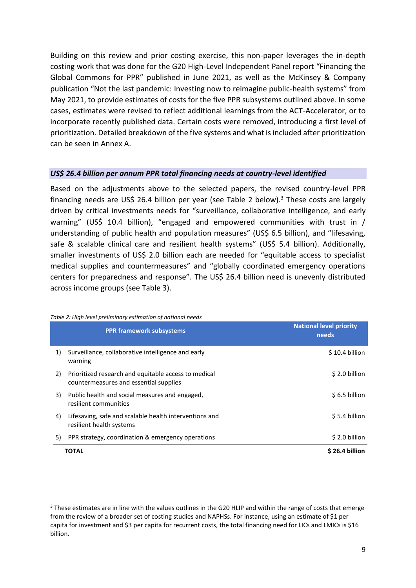Building on this review and prior costing exercise, this non-paper leverages the in-depth costing work that was done for the G20 High-Level Independent Panel report "Financing the Global Commons for PPR" published in June 2021, as well as the McKinsey & Company publication "Not the last pandemic: Investing now to reimagine public-health systems" from May 2021, to provide estimates of costs for the five PPR subsystems outlined above. In some cases, estimates were revised to reflect additional learnings from the ACT-Accelerator, or to incorporate recently published data. Certain costs were removed, introducing a first level of prioritization. Detailed breakdown of the five systems and what is included after prioritization can be seen in Annex A.

#### *US\$ 26.4 billion per annum PPR total financing needs at country-level identified*

Based on the adjustments above to the selected papers, the revised country-level PPR financing needs are US\$ 26.4 billion per year (see Table 2 below).<sup>3</sup> These costs are largely driven by critical investments needs for "surveillance, collaborative intelligence, and early warning" (US\$ 10.4 billion), "engaged and empowered communities with trust in / understanding of public health and population measures" (US\$ 6.5 billion), and "lifesaving, safe & scalable clinical care and resilient health systems" (US\$ 5.4 billion). Additionally, smaller investments of US\$ 2.0 billion each are needed for "equitable access to specialist medical supplies and countermeasures" and "globally coordinated emergency operations centers for preparedness and response". The US\$ 26.4 billion need is unevenly distributed across income groups (see Table 3).

|    | <b>PPR framework subsystems</b>                                                                | <b>National level priority</b><br>needs |
|----|------------------------------------------------------------------------------------------------|-----------------------------------------|
| 1) | Surveillance, collaborative intelligence and early<br>warning                                  | $$10.4$ billion                         |
| 2) | Prioritized research and equitable access to medical<br>countermeasures and essential supplies | \$2.0 billion                           |
| 3) | Public health and social measures and engaged,<br>resilient communities                        | $$6.5$ billion                          |
| 4) | Lifesaving, safe and scalable health interventions and<br>resilient health systems             | \$5.4 billion                           |
| 5) | PPR strategy, coordination & emergency operations                                              | \$2.0 billion                           |
|    | <b>TOTAL</b>                                                                                   | \$26.4 billion                          |

#### *Table 2: High level preliminary estimation of national needs*

1

<sup>&</sup>lt;sup>3</sup> These estimates are in line with the values outlines in the G20 HLIP and within the range of costs that emerge from the review of a broader set of costing studies and NAPHSs. For instance, using an estimate of \$1 per capita for investment and \$3 per capita for recurrent costs, the total financing need for LICs and LMICs is \$16 billion.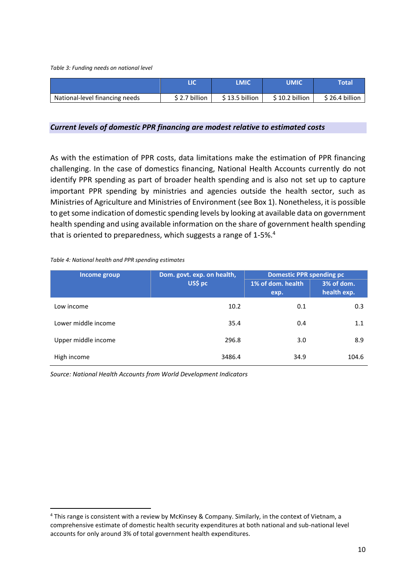*Table 3: Funding needs on national level* 

|                                |               | LMIC            | UMIC           | Total           |
|--------------------------------|---------------|-----------------|----------------|-----------------|
| National-level financing needs | \$2.7 billion | $$13.5$ billion | \$10.2 billion | $$26.4$ billion |

#### *Current levels of domestic PPR financing are modest relative to estimated costs*

As with the estimation of PPR costs, data limitations make the estimation of PPR financing challenging. In the case of domestics financing, National Health Accounts currently do not identify PPR spending as part of broader health spending and is also not set up to capture important PPR spending by ministries and agencies outside the health sector, such as Ministries of Agriculture and Ministries of Environment (see Box 1). Nonetheless, it is possible to get some indication of domestic spending levels by looking at available data on government health spending and using available information on the share of government health spending that is oriented to preparedness, which suggests a range of 1-5%.<sup>4</sup>

#### *Table 4: National health and PPR spending estimates*

**.** 

| Income group        | Dom. govt. exp. on health, | <b>Domestic PPR spending pc</b> |                           |  |
|---------------------|----------------------------|---------------------------------|---------------------------|--|
|                     | US\$ pc                    | 1% of dom. health<br>exp.       | 3% of dom.<br>health exp. |  |
| Low income          | 10.2                       | 0.1                             | 0.3                       |  |
| Lower middle income | 35.4                       | 0.4                             | 1.1                       |  |
| Upper middle income | 296.8                      | 3.0                             | 8.9                       |  |
| High income         | 3486.4                     | 34.9                            | 104.6                     |  |

*Source: National Health Accounts from World Development Indicators*

<sup>4</sup> This range is consistent with a review by McKinsey & Company. Similarly, in the context of Vietnam, a comprehensive estimate of domestic health security expenditures at both national and sub-national level accounts for only around 3% of total government health expenditures.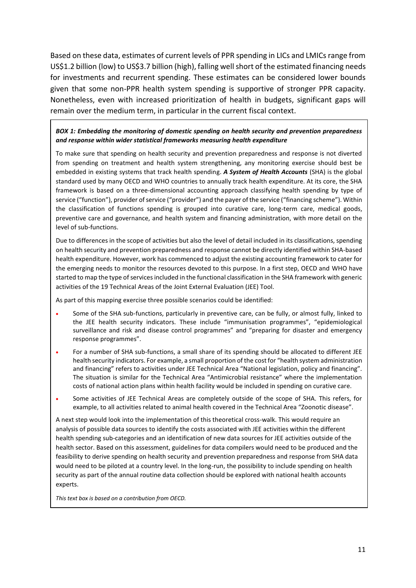Based on these data, estimates of current levels of PPR spending in LICs and LMICs range from US\$1.2 billion (low) to US\$3.7 billion (high), falling well short of the estimated financing needs for investments and recurrent spending. These estimates can be considered lower bounds given that some non-PPR health system spending is supportive of stronger PPR capacity. Nonetheless, even with increased prioritization of health in budgets, significant gaps will remain over the medium term, in particular in the current fiscal context.

#### *BOX 1: Embedding the monitoring of domestic spending on health security and prevention preparedness and response within wider statistical frameworks measuring health expenditure*

To make sure that spending on health security and prevention preparedness and response is not diverted from spending on treatment and health system strengthening, any monitoring exercise should best be embedded in existing systems that track health spending. *A System of Health Accounts* (SHA) is the global standard used by many OECD and WHO countries to annually track health expenditure. At its core, the SHA framework is based on a three-dimensional accounting approach classifying health spending by type of service ("function"), provider of service ("provider") and the payer of the service ("financing scheme"). Within the classification of functions spending is grouped into curative care, long-term care, medical goods, preventive care and governance, and health system and financing administration, with more detail on the level of sub-functions.

Due to differences in the scope of activities but also the level of detail included in its classifications, spending on health security and prevention preparedness and response cannot be directly identified within SHA-based health expenditure. However, work has commenced to adjust the existing accounting framework to cater for the emerging needs to monitor the resources devoted to this purpose. In a first step, OECD and WHO have started to map the type of services included in the functional classification in the SHA framework with generic activities of the 19 Technical Areas of the Joint External Evaluation (JEE) Tool.

As part of this mapping exercise three possible scenarios could be identified:

- Some of the SHA sub-functions, particularly in preventive care, can be fully, or almost fully, linked to the JEE health security indicators. These include "immunisation programmes", "epidemiological surveillance and risk and disease control programmes" and "preparing for disaster and emergency response programmes".
- For a number of SHA sub-functions, a small share of its spending should be allocated to different JEE health security indicators. For example, a small proportion of the cost for "health system administration and financing" refers to activities under JEE Technical Area "National legislation, policy and financing". The situation is similar for the Technical Area "Antimicrobial resistance" where the implementation costs of national action plans within health facility would be included in spending on curative care.
- Some activities of JEE Technical Areas are completely outside of the scope of SHA. This refers, for example, to all activities related to animal health covered in the Technical Area "Zoonotic disease".

A next step would look into the implementation of this theoretical cross-walk. This would require an analysis of possible data sources to identify the costs associated with JEE activities within the different health spending sub-categories and an identification of new data sources for JEE activities outside of the health sector. Based on this assessment, guidelines for data compilers would need to be produced and the feasibility to derive spending on health security and prevention preparedness and response from SHA data would need to be piloted at a country level. In the long-run, the possibility to include spending on health security as part of the annual routine data collection should be explored with national health accounts experts.

*This text box is based on a contribution from OECD.*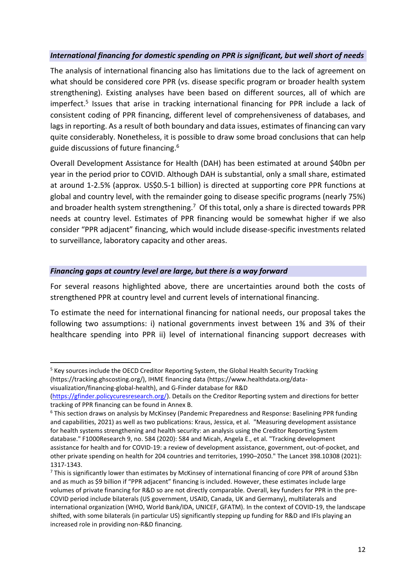# *International financing for domestic spending on PPR is significant, but well short of needs*

The analysis of international financing also has limitations due to the lack of agreement on what should be considered core PPR (vs. disease specific program or broader health system strengthening). Existing analyses have been based on different sources, all of which are imperfect.<sup>5</sup> Issues that arise in tracking international financing for PPR include a lack of consistent coding of PPR financing, different level of comprehensiveness of databases, and lags in reporting. As a result of both boundary and data issues, estimates of financing can vary quite considerably. Nonetheless, it is possible to draw some broad conclusions that can help guide discussions of future financing. 6

Overall Development Assistance for Health (DAH) has been estimated at around \$40bn per year in the period prior to COVID. Although DAH is substantial, only a small share, estimated at around 1-2.5% (approx. US\$0.5-1 billion) is directed at supporting core PPR functions at global and country level, with the remainder going to disease specific programs (nearly 75%) and broader health system strengthening.<sup>7</sup> Of this total, only a share is directed towards PPR needs at country level. Estimates of PPR financing would be somewhat higher if we also consider "PPR adjacent" financing, which would include disease-specific investments related to surveillance, laboratory capacity and other areas.

# *Financing gaps at country level are large, but there is a way forward*

**.** 

For several reasons highlighted above, there are uncertainties around both the costs of strengthened PPR at country level and current levels of international financing.

To estimate the need for international financing for national needs, our proposal takes the following two assumptions: i) national governments invest between 1% and 3% of their healthcare spending into PPR ii) level of international financing support decreases with

<sup>&</sup>lt;sup>5</sup> Key sources include the OECD Creditor Reporting System, the Global Health Security Tracking (https://tracking.ghscosting.org/), IHME financing data (https://www.healthdata.org/datavisualization/financing-global-health), and G-Finder database for R&D

[<sup>\(</sup>https://gfinder.policycuresresearch.org/\)](https://gfinder.policycuresresearch.org/). Details on the Creditor Reporting system and directions for better tracking of PPR financing can be found in Annex B.

<sup>6</sup> This section draws on analysis by McKinsey (Pandemic Preparedness and Response: Baselining PPR funding and capabilities, 2021) as well as two publications: Kraus, Jessica, et al. "Measuring development assistance for health systems strengthening and health security: an analysis using the Creditor Reporting System database." F1000Research 9, no. 584 (2020): 584 and Micah, Angela E., et al. "Tracking development assistance for health and for COVID-19: a review of development assistance, government, out-of-pocket, and other private spending on health for 204 countries and territories, 1990–2050." The Lancet 398.10308 (2021): 1317-1343.

<sup>&</sup>lt;sup>7</sup> This is significantly lower than estimates by McKinsey of international financing of core PPR of around \$3bn and as much as \$9 billion if "PPR adjacent" financing is included. However, these estimates include large volumes of private financing for R&D so are not directly comparable. Overall, key funders for PPR in the pre-COVID period include bilaterals (US government, USAID, Canada, UK and Germany), multilaterals and international organization (WHO, World Bank/IDA, UNICEF, GFATM). In the context of COVID-19, the landscape shifted, with some bilaterals (in particular US) significantly stepping up funding for R&D and IFIs playing an increased role in providing non-R&D financing.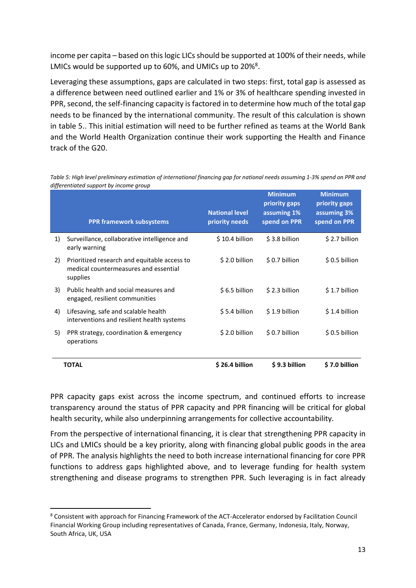income per capita – based on this logic LICs should be supported at 100% of their needs, while LMICs would be supported up to 60%, and UMICs up to 20%<sup>8</sup>.

Leveraging these assumptions, gaps are calculated in two steps: first, total gap is assessed as a difference between need outlined earlier and 1% or 3% of healthcare spending invested in PPR, second, the self-financing capacity is factored in to determine how much of the total gap needs to be financed by the international community. The result of this calculation is shown in table 5.. This initial estimation will need to be further refined as teams at the World Bank and the World Health Organization continue their work supporting the Health and Finance track of the G20.

|    | . <b>. .</b><br><b>PPR framework subsystems</b>                                                   | <b>National level</b><br>priority needs | <b>Minimum</b><br>priority gaps<br>assuming 1%<br>spend on PPR | <b>Minimum</b><br>priority gaps<br>assuming 3%<br>spend on PPR |
|----|---------------------------------------------------------------------------------------------------|-----------------------------------------|----------------------------------------------------------------|----------------------------------------------------------------|
| 1) | Surveillance, collaborative intelligence and<br>early warning                                     | $$10.4$ billion                         | \$3.8 billion                                                  | \$2.7 billion                                                  |
| 2) | Prioritized research and equitable access to<br>medical countermeasures and essential<br>supplies | \$2.0 billion                           | \$0.7 billion                                                  | \$0.5 billion                                                  |
| 3) | Public health and social measures and<br>engaged, resilient communities                           | \$6.5 billion                           | \$2.3 billion                                                  | \$1.7 billion                                                  |
| 4) | Lifesaving, safe and scalable health<br>interventions and resilient health systems                | $$5.4$ billion                          | $$1.9$ billion                                                 | $$1.4$ billion                                                 |
| 5) | PPR strategy, coordination & emergency<br>operations                                              | $$2.0$ billion                          | $$0.7$ billion                                                 | $$0.5$ billion                                                 |
|    | <b>TOTAL</b>                                                                                      | \$26.4 billion                          | \$9.3 billion                                                  | \$7.0 billion                                                  |

*Table 5: High level preliminary estimation of international financing gap for national needs assuming 1-3% spend on PPR and differentiated support by income group*

PPR capacity gaps exist across the income spectrum, and continued efforts to increase transparency around the status of PPR capacity and PPR financing will be critical for global health security, while also underpinning arrangements for collective accountability.

From the perspective of international financing, it is clear that strengthening PPR capacity in LICs and LMICs should be a key priority, along with financing global public goods in the area of PPR. The analysis highlights the need to both increase international financing for core PPR functions to address gaps highlighted above, and to leverage funding for health system strengthening and disease programs to strengthen PPR. Such leveraging is in fact already

**.** 

<sup>8</sup> Consistent with approach for Financing Framework of the ACT-Accelerator endorsed by Facilitation Council Financial Working Group including representatives of Canada, France, Germany, Indonesia, Italy, Norway, South Africa, UK, USA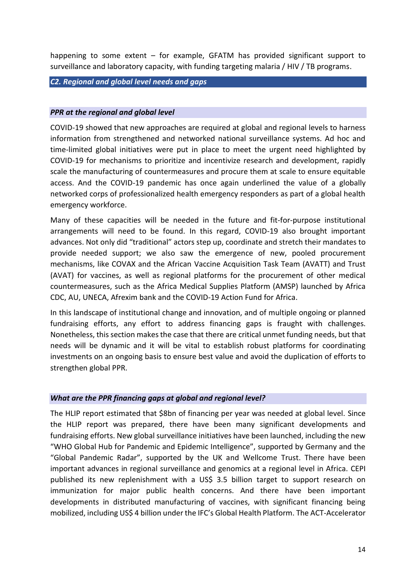happening to some extent – for example, GFATM has provided significant support to surveillance and laboratory capacity, with funding targeting malaria / HIV / TB programs.

#### *C2. Regional and global level needs and gaps*

#### *PPR at the regional and global level*

COVID-19 showed that new approaches are required at global and regional levels to harness information from strengthened and networked national surveillance systems. Ad hoc and time-limited global initiatives were put in place to meet the urgent need highlighted by COVID-19 for mechanisms to prioritize and incentivize research and development, rapidly scale the manufacturing of countermeasures and procure them at scale to ensure equitable access. And the COVID-19 pandemic has once again underlined the value of a globally networked corps of professionalized health emergency responders as part of a global health emergency workforce.

Many of these capacities will be needed in the future and fit-for-purpose institutional arrangements will need to be found. In this regard, COVID-19 also brought important advances. Not only did "traditional" actors step up, coordinate and stretch their mandates to provide needed support; we also saw the emergence of new, pooled procurement mechanisms, like COVAX and the African Vaccine Acquisition Task Team (AVATT) and Trust (AVAT) for vaccines, as well as regional platforms for the procurement of other medical countermeasures, such as the Africa Medical Supplies Platform (AMSP) launched by Africa CDC, AU, UNECA, Afrexim bank and the COVID-19 Action Fund for Africa.

In this landscape of institutional change and innovation, and of multiple ongoing or planned fundraising efforts, any effort to address financing gaps is fraught with challenges. Nonetheless, this section makes the case that there are critical unmet funding needs, but that needs will be dynamic and it will be vital to establish robust platforms for coordinating investments on an ongoing basis to ensure best value and avoid the duplication of efforts to strengthen global PPR.

#### *What are the PPR financing gaps at global and regional level?*

The HLIP report estimated that \$8bn of financing per year was needed at global level. Since the HLIP report was prepared, there have been many significant developments and fundraising efforts. New global surveillance initiatives have been launched, including the new "WHO Global Hub for Pandemic and Epidemic Intelligence", supported by Germany and the "Global Pandemic Radar", supported by the UK and Wellcome Trust. There have been important advances in regional surveillance and genomics at a regional level in Africa. CEPI published its new replenishment with a US\$ 3.5 billion target to support research on immunization for major public health concerns. And there have been important developments in distributed manufacturing of vaccines, with significant financing being mobilized, including US\$ 4 billion under the IFC's Global Health Platform. The ACT-Accelerator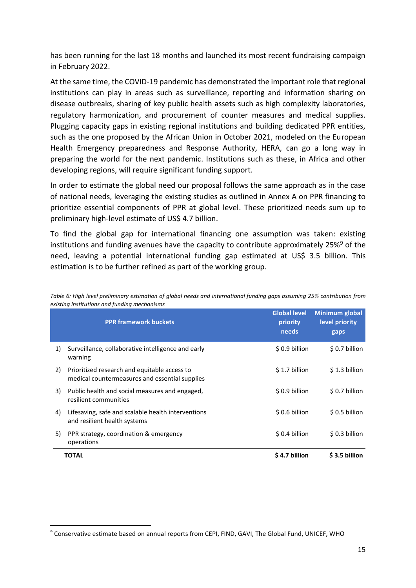has been running for the last 18 months and launched its most recent fundraising campaign in February 2022.

At the same time, the COVID-19 pandemic has demonstrated the important role that regional institutions can play in areas such as surveillance, reporting and information sharing on disease outbreaks, sharing of key public health assets such as high complexity laboratories, regulatory harmonization, and procurement of counter measures and medical supplies. Plugging capacity gaps in existing regional institutions and building dedicated PPR entities, such as the one proposed by the African Union in October 2021, modeled on the European Health Emergency preparedness and Response Authority, HERA, can go a long way in preparing the world for the next pandemic. Institutions such as these, in Africa and other developing regions, will require significant funding support.

In order to estimate the global need our proposal follows the same approach as in the case of national needs, leveraging the existing studies as outlined in Annex A on PPR financing to prioritize essential components of PPR at global level. These prioritized needs sum up to preliminary high-level estimate of US\$ 4.7 billion.

To find the global gap for international financing one assumption was taken: existing institutions and funding avenues have the capacity to contribute approximately 25%<sup>9</sup> of the need, leaving a potential international funding gap estimated at US\$ 3.5 billion. This estimation is to be further refined as part of the working group.

|    | <b>PPR framework buckets</b>                                                                   | <b>Global level</b><br>priority<br>needs | <b>Minimum global</b><br>level priority<br>gaps |
|----|------------------------------------------------------------------------------------------------|------------------------------------------|-------------------------------------------------|
| 1) | Surveillance, collaborative intelligence and early<br>warning                                  | $$0.9$ billion                           | \$0.7 billion                                   |
| 2) | Prioritized research and equitable access to<br>medical countermeasures and essential supplies | \$1.7 billion                            | \$1.3 billion                                   |
| 3) | Public health and social measures and engaged,<br>resilient communities                        | $$0.9$ billion                           | \$0.7 billion                                   |
| 4) | Lifesaving, safe and scalable health interventions<br>and resilient health systems             | \$0.6 billion                            | \$0.5 billion                                   |
| 5) | PPR strategy, coordination & emergency<br>operations                                           | \$0.4 billion                            | \$0.3 billion                                   |
|    | <b>TOTAL</b>                                                                                   | \$4.7 billion                            | S 3.5 billion                                   |

*Table 6: High level preliminary estimation of global needs and international funding gaps assuming 25% contribution from existing institutions and funding mechanisms*

**.** 

<sup>9</sup> Conservative estimate based on annual reports from CEPI, FIND, GAVI, The Global Fund, UNICEF, WHO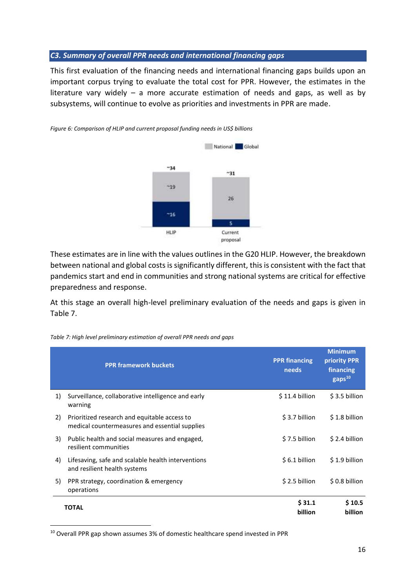#### *C3. Summary of overall PPR needs and international financing gaps*

This first evaluation of the financing needs and international financing gaps builds upon an important corpus trying to evaluate the total cost for PPR. However, the estimates in the literature vary widely – a more accurate estimation of needs and gaps, as well as by subsystems, will continue to evolve as priorities and investments in PPR are made.



*Figure 6: Comparison of HLIP and current proposal funding needs in US\$ billions*

These estimates are in line with the values outlines in the G20 HLIP. However, the breakdown between national and global costs is significantly different, this is consistent with the fact that pandemics start and end in communities and strong national systems are critical for effective preparedness and response.

At this stage an overall high-level preliminary evaluation of the needs and gaps is given in Table 7.

|    | <b>PPR framework buckets</b>                                                                   | <b>PPR financing</b><br>needs | <b>Minimum</b><br>priority PPR<br>financing<br>gaps <sup>10</sup> |
|----|------------------------------------------------------------------------------------------------|-------------------------------|-------------------------------------------------------------------|
| 1) | Surveillance, collaborative intelligence and early<br>warning                                  | $$11.4$ billion               | \$3.5 billion                                                     |
| 2) | Prioritized research and equitable access to<br>medical countermeasures and essential supplies | \$3.7 billion                 | \$1.8 billion                                                     |
| 3) | Public health and social measures and engaged,<br>resilient communities                        | \$7.5 billion                 | \$2.4 billion                                                     |
| 4) | Lifesaving, safe and scalable health interventions<br>and resilient health systems             | \$6.1 billion                 | \$1.9 billion                                                     |
| 5) | PPR strategy, coordination & emergency<br>operations                                           | \$2.5 billion                 | \$0.8 billion                                                     |
|    | <b>TOTAL</b>                                                                                   | \$31.1<br>billion             | \$10.5<br>billion                                                 |

*Table 7: High level preliminary estimation of overall PPR needs and gaps*

**.** 

<sup>&</sup>lt;sup>10</sup> Overall PPR gap shown assumes 3% of domestic healthcare spend invested in PPR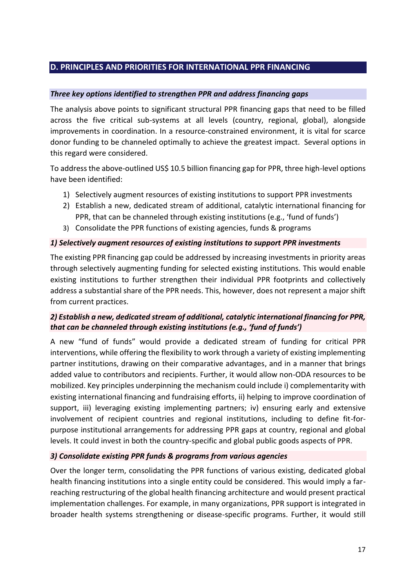# **D. PRINCIPLES AND PRIORITIES FOR INTERNATIONAL PPR FINANCING**

# *Three key options identified to strengthen PPR and address financing gaps*

The analysis above points to significant structural PPR financing gaps that need to be filled across the five critical sub-systems at all levels (country, regional, global), alongside improvements in coordination. In a resource-constrained environment, it is vital for scarce donor funding to be channeled optimally to achieve the greatest impact. Several options in this regard were considered.

To address the above-outlined US\$ 10.5 billion financing gap for PPR, three high-level options have been identified:

- 1) Selectively augment resources of existing institutions to support PPR investments
- 2) Establish a new, dedicated stream of additional, catalytic international financing for PPR, that can be channeled through existing institutions (e.g., 'fund of funds')
- 3) Consolidate the PPR functions of existing agencies, funds & programs

# *1) Selectively augment resources of existing institutions to support PPR investments*

The existing PPR financing gap could be addressed by increasing investments in priority areas through selectively augmenting funding for selected existing institutions. This would enable existing institutions to further strengthen their individual PPR footprints and collectively address a substantial share of the PPR needs. This, however, does not represent a major shift from current practices.

# *2) Establish a new, dedicated stream of additional, catalytic international financing for PPR, that can be channeled through existing institutions (e.g., 'fund of funds')*

A new "fund of funds" would provide a dedicated stream of funding for critical PPR interventions, while offering the flexibility to work through a variety of existing implementing partner institutions, drawing on their comparative advantages, and in a manner that brings added value to contributors and recipients. Further, it would allow non-ODA resources to be mobilized. Key principles underpinning the mechanism could include i) complementarity with existing international financing and fundraising efforts, ii) helping to improve coordination of support, iii) leveraging existing implementing partners; iv) ensuring early and extensive involvement of recipient countries and regional institutions, including to define fit-forpurpose institutional arrangements for addressing PPR gaps at country, regional and global levels. It could invest in both the country-specific and global public goods aspects of PPR.

#### *3) Consolidate existing PPR funds & programs from various agencies*

Over the longer term, consolidating the PPR functions of various existing, dedicated global health financing institutions into a single entity could be considered. This would imply a farreaching restructuring of the global health financing architecture and would present practical implementation challenges. For example, in many organizations, PPR support is integrated in broader health systems strengthening or disease-specific programs. Further, it would still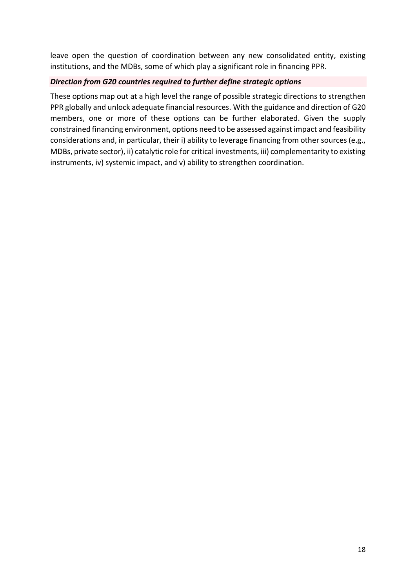leave open the question of coordination between any new consolidated entity, existing institutions, and the MDBs, some of which play a significant role in financing PPR.

# *Direction from G20 countries required to further define strategic options*

These options map out at a high level the range of possible strategic directions to strengthen PPR globally and unlock adequate financial resources. With the guidance and direction of G20 members, one or more of these options can be further elaborated. Given the supply constrained financing environment, options need to be assessed against impact and feasibility considerations and, in particular, their i) ability to leverage financing from other sources (e.g., MDBs, private sector), ii) catalytic role for critical investments, iii) complementarity to existing instruments, iv) systemic impact, and v) ability to strengthen coordination.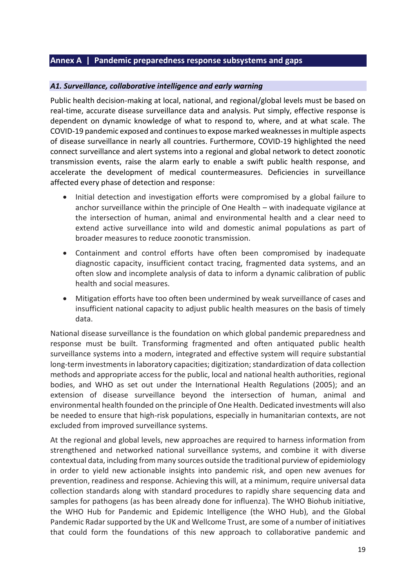# **Annex A | Pandemic preparedness response subsystems and gaps**

#### *A1. Surveillance, collaborative intelligence and early warning*

Public health decision-making at local, national, and regional/global levels must be based on real-time, accurate disease surveillance data and analysis. Put simply, effective response is dependent on dynamic knowledge of what to respond to, where, and at what scale. The COVID-19 pandemic exposed and continues to expose marked weaknesses in multiple aspects of disease surveillance in nearly all countries. Furthermore, COVID-19 highlighted the need connect surveillance and alert systems into a regional and global network to detect zoonotic transmission events, raise the alarm early to enable a swift public health response, and accelerate the development of medical countermeasures. Deficiencies in surveillance affected every phase of detection and response:

- Initial detection and investigation efforts were compromised by a global failure to anchor surveillance within the principle of One Health – with inadequate vigilance at the intersection of human, animal and environmental health and a clear need to extend active surveillance into wild and domestic animal populations as part of broader measures to reduce zoonotic transmission.
- Containment and control efforts have often been compromised by inadequate diagnostic capacity, insufficient contact tracing, fragmented data systems, and an often slow and incomplete analysis of data to inform a dynamic calibration of public health and social measures.
- Mitigation efforts have too often been undermined by weak surveillance of cases and insufficient national capacity to adjust public health measures on the basis of timely data.

National disease surveillance is the foundation on which global pandemic preparedness and response must be built. Transforming fragmented and often antiquated public health surveillance systems into a modern, integrated and effective system will require substantial long-term investments in laboratory capacities; digitization; standardization of data collection methods and appropriate access for the public, local and national health authorities, regional bodies, and WHO as set out under the International Health Regulations (2005); and an extension of disease surveillance beyond the intersection of human, animal and environmental health founded on the principle of One Health. Dedicated investments will also be needed to ensure that high-risk populations, especially in humanitarian contexts, are not excluded from improved surveillance systems.

At the regional and global levels, new approaches are required to harness information from strengthened and networked national surveillance systems, and combine it with diverse contextual data, including from many sources outside the traditional purview of epidemiology in order to yield new actionable insights into pandemic risk, and open new avenues for prevention, readiness and response. Achieving this will, at a minimum, require universal data collection standards along with standard procedures to rapidly share sequencing data and samples for pathogens (as has been already done for influenza). The WHO Biohub initiative, the WHO Hub for Pandemic and Epidemic Intelligence (the WHO Hub), and the Global Pandemic Radar supported by the UK and Wellcome Trust, are some of a number of initiatives that could form the foundations of this new approach to collaborative pandemic and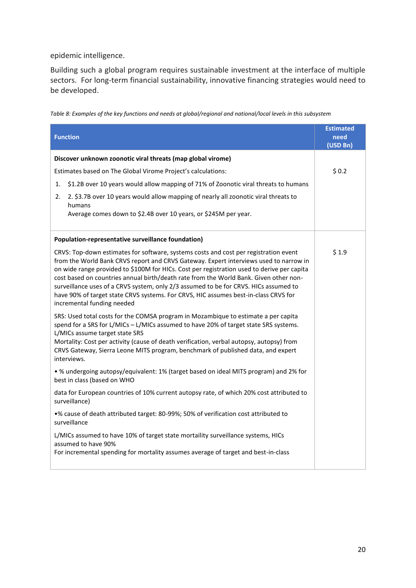epidemic intelligence.

Building such a global program requires sustainable investment at the interface of multiple sectors. For long-term financial sustainability, innovative financing strategies would need to be developed.

| Table 8: Examples of the key functions and needs at global/regional and national/local levels in this subsystem |  |
|-----------------------------------------------------------------------------------------------------------------|--|
|                                                                                                                 |  |

| <b>Function</b>                                                                                                                                                                                                                                                                                                                                                                                                                                                                                                                                                                   | <b>Estimated</b><br>need<br>(USD Bn) |
|-----------------------------------------------------------------------------------------------------------------------------------------------------------------------------------------------------------------------------------------------------------------------------------------------------------------------------------------------------------------------------------------------------------------------------------------------------------------------------------------------------------------------------------------------------------------------------------|--------------------------------------|
| Discover unknown zoonotic viral threats (map global virome)                                                                                                                                                                                                                                                                                                                                                                                                                                                                                                                       |                                      |
| Estimates based on The Global Virome Project's calculations:                                                                                                                                                                                                                                                                                                                                                                                                                                                                                                                      | \$0.2\$                              |
| \$1.2B over 10 years would allow mapping of 71% of Zoonotic viral threats to humans<br>1.                                                                                                                                                                                                                                                                                                                                                                                                                                                                                         |                                      |
| 2. \$3.7B over 10 years would allow mapping of nearly all zoonotic viral threats to<br>2.<br>humans                                                                                                                                                                                                                                                                                                                                                                                                                                                                               |                                      |
| Average comes down to \$2.4B over 10 years, or \$245M per year.                                                                                                                                                                                                                                                                                                                                                                                                                                                                                                                   |                                      |
| Population-representative surveillance foundation)                                                                                                                                                                                                                                                                                                                                                                                                                                                                                                                                |                                      |
| CRVS: Top-down estimates for software, systems costs and cost per registration event<br>from the World Bank CRVS report and CRVS Gateway. Expert interviews used to narrow in<br>on wide range provided to \$100M for HICs. Cost per registration used to derive per capita<br>cost based on countries annual birth/death rate from the World Bank. Given other non-<br>surveillance uses of a CRVS system, only 2/3 assumed to be for CRVS. HICs assumed to<br>have 90% of target state CRVS systems. For CRVS, HIC assumes best-in-class CRVS for<br>incremental funding needed | \$1.9                                |
| SRS: Used total costs for the COMSA program in Mozambique to estimate a per capita<br>spend for a SRS for L/MICs - L/MICs assumed to have 20% of target state SRS systems.<br>L/MICs assume target state SRS<br>Mortality: Cost per activity (cause of death verification, verbal autopsy, autopsy) from<br>CRVS Gateway, Sierra Leone MITS program, benchmark of published data, and expert<br>interviews.                                                                                                                                                                       |                                      |
| • % undergoing autopsy/equivalent: 1% (target based on ideal MITS program) and 2% for<br>best in class (based on WHO                                                                                                                                                                                                                                                                                                                                                                                                                                                              |                                      |
| data for European countries of 10% current autopsy rate, of which 20% cost attributed to<br>surveillance)                                                                                                                                                                                                                                                                                                                                                                                                                                                                         |                                      |
| •% cause of death attributed target: 80-99%; 50% of verification cost attributed to<br>surveillance                                                                                                                                                                                                                                                                                                                                                                                                                                                                               |                                      |
| L/MICs assumed to have 10% of target state mortaility surveillance systems, HICs<br>assumed to have 90%                                                                                                                                                                                                                                                                                                                                                                                                                                                                           |                                      |
| For incremental spending for mortality assumes average of target and best-in-class                                                                                                                                                                                                                                                                                                                                                                                                                                                                                                |                                      |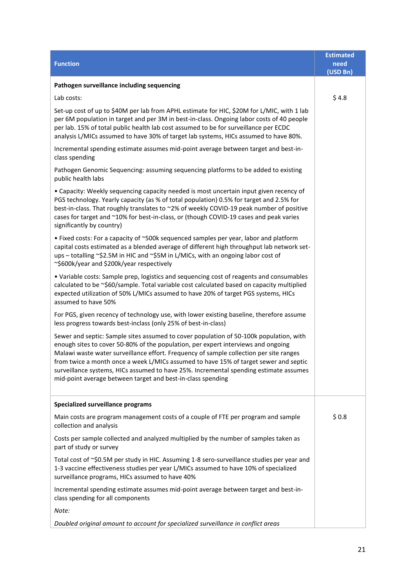| <b>Function</b>                                                                                                                                                                                                                                                                                                                                                                                                                                                                                                       | <b>Estimated</b><br>need<br>(USD Bn) |
|-----------------------------------------------------------------------------------------------------------------------------------------------------------------------------------------------------------------------------------------------------------------------------------------------------------------------------------------------------------------------------------------------------------------------------------------------------------------------------------------------------------------------|--------------------------------------|
| Pathogen surveillance including sequencing                                                                                                                                                                                                                                                                                                                                                                                                                                                                            |                                      |
| Lab costs:                                                                                                                                                                                                                                                                                                                                                                                                                                                                                                            | \$4.8                                |
| Set-up cost of up to \$40M per lab from APHL estimate for HIC, \$20M for L/MIC, with 1 lab<br>per 6M population in target and per 3M in best-in-class. Ongoing labor costs of 40 people<br>per lab. 15% of total public health lab cost assumed to be for surveillance per ECDC<br>analysis L/MICs assumed to have 30% of target lab systems, HICs assumed to have 80%.                                                                                                                                               |                                      |
| Incremental spending estimate assumes mid-point average between target and best-in-<br>class spending                                                                                                                                                                                                                                                                                                                                                                                                                 |                                      |
| Pathogen Genomic Sequencing: assuming sequencing platforms to be added to existing<br>public health labs                                                                                                                                                                                                                                                                                                                                                                                                              |                                      |
| • Capacity: Weekly sequencing capacity needed is most uncertain input given recency of<br>PGS technology. Yearly capacity (as % of total population) 0.5% for target and 2.5% for<br>best-in-class. That roughly translates to ~2% of weekly COVID-19 peak number of positive<br>cases for target and ~10% for best-in-class, or (though COVID-19 cases and peak varies<br>significantly by country)                                                                                                                  |                                      |
| • Fixed costs: For a capacity of ~500k sequenced samples per year, labor and platform<br>capital costs estimated as a blended average of different high throughput lab network set-<br>ups - totalling ~\$2.5M in HIC and ~\$5M in L/MICs, with an ongoing labor cost of<br>~\$600k/year and \$200k/year respectively                                                                                                                                                                                                 |                                      |
| • Variable costs: Sample prep, logistics and sequencing cost of reagents and consumables<br>calculated to be ~\$60/sample. Total variable cost calculated based on capacity multiplied<br>expected utilization of 50% L/MICs assumed to have 20% of target PGS systems, HICs<br>assumed to have 50%                                                                                                                                                                                                                   |                                      |
| For PGS, given recency of technology use, with lower existing baseline, therefore assume<br>less progress towards best-inclass (only 25% of best-in-class)                                                                                                                                                                                                                                                                                                                                                            |                                      |
| Sewer and septic: Sample sites assumed to cover population of 50-100k population, with<br>enough sites to cover 50-80% of the population, per expert interviews and ongoing<br>Malawi waste water surveillance effort. Frequency of sample collection per site ranges<br>from twice a month once a week L/MICs assumed to have 15% of target sewer and septic<br>surveillance systems, HICs assumed to have 25%. Incremental spending estimate assumes<br>mid-point average between target and best-in-class spending |                                      |
| Specialized surveillance programs                                                                                                                                                                                                                                                                                                                                                                                                                                                                                     |                                      |
| Main costs are program management costs of a couple of FTE per program and sample<br>collection and analysis                                                                                                                                                                                                                                                                                                                                                                                                          | \$0.8                                |
| Costs per sample collected and analyzed multiplied by the number of samples taken as<br>part of study or survey                                                                                                                                                                                                                                                                                                                                                                                                       |                                      |
| Total cost of ~\$0.5M per study in HIC. Assuming 1-8 sero-surveillance studies per year and<br>1-3 vaccine effectiveness studies per year L/MICs assumed to have 10% of specialized<br>surveillance programs, HICs assumed to have 40%                                                                                                                                                                                                                                                                                |                                      |
| Incremental spending estimate assumes mid-point average between target and best-in-<br>class spending for all components                                                                                                                                                                                                                                                                                                                                                                                              |                                      |
| Note:                                                                                                                                                                                                                                                                                                                                                                                                                                                                                                                 |                                      |
| Doubled original amount to account for specialized surveillance in conflict areas                                                                                                                                                                                                                                                                                                                                                                                                                                     |                                      |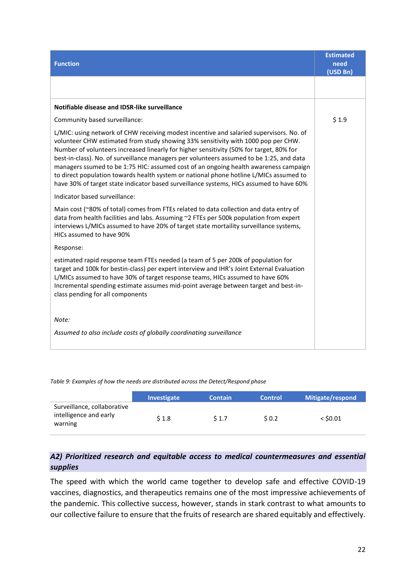| <b>Function</b>                                                                                                                                                                                                                                                                                                                                                                                                                                                                                                                                                                                                                                  | <b>Estimated</b><br>need<br>(USD Bn) |
|--------------------------------------------------------------------------------------------------------------------------------------------------------------------------------------------------------------------------------------------------------------------------------------------------------------------------------------------------------------------------------------------------------------------------------------------------------------------------------------------------------------------------------------------------------------------------------------------------------------------------------------------------|--------------------------------------|
|                                                                                                                                                                                                                                                                                                                                                                                                                                                                                                                                                                                                                                                  |                                      |
| Notifiable disease and IDSR-like surveillance                                                                                                                                                                                                                                                                                                                                                                                                                                                                                                                                                                                                    |                                      |
| Community based surveillance:                                                                                                                                                                                                                                                                                                                                                                                                                                                                                                                                                                                                                    | \$1.9                                |
| L/MIC: using network of CHW receiving modest incentive and salaried supervisors. No. of<br>volunteer CHW estimated from study showing 33% sensitivity with 1000 pop per CHW.<br>Number of volunteers increased linearly for higher sensitivity (50% for target, 80% for<br>best-in-class). No. of surveillance managers per volunteers assumed to be 1:25, and data<br>managers ssumed to be 1:75 HIC: assumed cost of an ongoing health awareness campaign<br>to direct population towards health system or national phone hotline L/MICs assumed to<br>have 30% of target state indicator based surveillance systems, HICs assumed to have 60% |                                      |
| Indicator based surveillance:                                                                                                                                                                                                                                                                                                                                                                                                                                                                                                                                                                                                                    |                                      |
| Main cost (~80% of total) comes from FTEs related to data collection and data entry of<br>data from health facilities and labs. Assuming ~2 FTEs per 500k population from expert<br>interviews L/MICs assumed to have 20% of target state mortaility surveillance systems,<br>HICs assumed to have 90%                                                                                                                                                                                                                                                                                                                                           |                                      |
| Response:                                                                                                                                                                                                                                                                                                                                                                                                                                                                                                                                                                                                                                        |                                      |
| estimated rapid response team FTEs needed (a team of 5 per 200k of population for<br>target and 100k for bestin-class) per expert interview and IHR's Joint External Evaluation<br>L/MICs assumed to have 30% of target response teams, HICs assumed to have 60%<br>Incremental spending estimate assumes mid-point average between target and best-in-<br>class pending for all components                                                                                                                                                                                                                                                      |                                      |
| Note:                                                                                                                                                                                                                                                                                                                                                                                                                                                                                                                                                                                                                                            |                                      |
| Assumed to also include costs of globally coordinating surveillance                                                                                                                                                                                                                                                                                                                                                                                                                                                                                                                                                                              |                                      |

*Table 9: Examples of how the needs are distributed across the Detect/Respond phase*

|                                                                  | <b>Investigate</b> | <b>Contain</b> | <b>Control</b> | Mitigate/respond |
|------------------------------------------------------------------|--------------------|----------------|----------------|------------------|
| Surveillance, collaborative<br>intelligence and early<br>warning | \$1.8              | S 1.7          | \$0.2\$        | $<$ \$0.01       |

# *A2) Prioritized research and equitable access to medical countermeasures and essential supplies*

The speed with which the world came together to develop safe and effective COVID-19 vaccines, diagnostics, and therapeutics remains one of the most impressive achievements of the pandemic. This collective success, however, stands in stark contrast to what amounts to our collective failure to ensure that the fruits of research are shared equitably and effectively.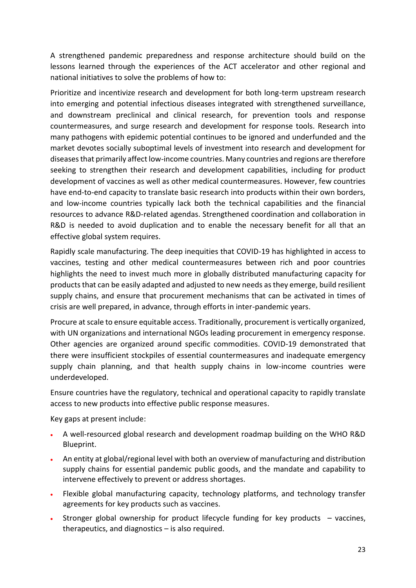A strengthened pandemic preparedness and response architecture should build on the lessons learned through the experiences of the ACT accelerator and other regional and national initiatives to solve the problems of how to:

Prioritize and incentivize research and development for both long-term upstream research into emerging and potential infectious diseases integrated with strengthened surveillance, and downstream preclinical and clinical research, for prevention tools and response countermeasures, and surge research and development for response tools. Research into many pathogens with epidemic potential continues to be ignored and underfunded and the market devotes socially suboptimal levels of investment into research and development for diseases that primarily affect low-income countries. Many countries and regions are therefore seeking to strengthen their research and development capabilities, including for product development of vaccines as well as other medical countermeasures. However, few countries have end-to-end capacity to translate basic research into products within their own borders, and low-income countries typically lack both the technical capabilities and the financial resources to advance R&D-related agendas. Strengthened coordination and collaboration in R&D is needed to avoid duplication and to enable the necessary benefit for all that an effective global system requires.

Rapidly scale manufacturing. The deep inequities that COVID-19 has highlighted in access to vaccines, testing and other medical countermeasures between rich and poor countries highlights the need to invest much more in globally distributed manufacturing capacity for products that can be easily adapted and adjusted to new needs as they emerge, build resilient supply chains, and ensure that procurement mechanisms that can be activated in times of crisis are well prepared, in advance, through efforts in inter-pandemic years.

Procure at scale to ensure equitable access. Traditionally, procurement is vertically organized, with UN organizations and international NGOs leading procurement in emergency response. Other agencies are organized around specific commodities. COVID-19 demonstrated that there were insufficient stockpiles of essential countermeasures and inadequate emergency supply chain planning, and that health supply chains in low-income countries were underdeveloped.

Ensure countries have the regulatory, technical and operational capacity to rapidly translate access to new products into effective public response measures.

Key gaps at present include:

- A well-resourced global research and development roadmap building on the WHO R&D Blueprint.
- An entity at global/regional level with both an overview of manufacturing and distribution supply chains for essential pandemic public goods, and the mandate and capability to intervene effectively to prevent or address shortages.
- Flexible global manufacturing capacity, technology platforms, and technology transfer agreements for key products such as vaccines.
- Stronger global ownership for product lifecycle funding for key products  $-$  vaccines, therapeutics, and diagnostics – is also required.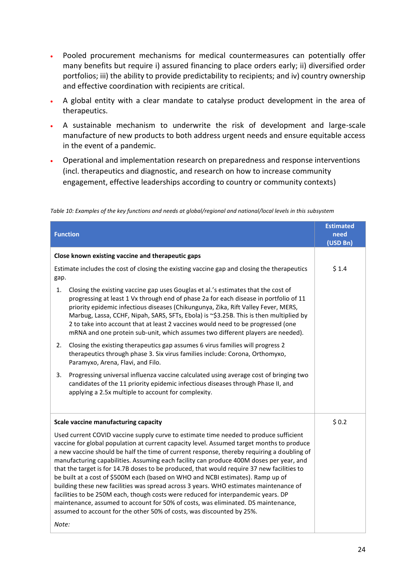- Pooled procurement mechanisms for medical countermeasures can potentially offer many benefits but require i) assured financing to place orders early; ii) diversified order portfolios; iii) the ability to provide predictability to recipients; and iv) country ownership and effective coordination with recipients are critical.
- A global entity with a clear mandate to catalyse product development in the area of therapeutics.
- A sustainable mechanism to underwrite the risk of development and large-scale manufacture of new products to both address urgent needs and ensure equitable access in the event of a pandemic.
- Operational and implementation research on preparedness and response interventions (incl. therapeutics and diagnostic, and research on how to increase community engagement, effective leaderships according to country or community contexts)

| <b>Estimated</b><br>need<br>(USD Bn) |
|--------------------------------------|
|                                      |
| \$1.4                                |
|                                      |
|                                      |
|                                      |
| \$0.2\$                              |
|                                      |
|                                      |

*Table 10: Examples of the key functions and needs at global/regional and national/local levels in this subsystem*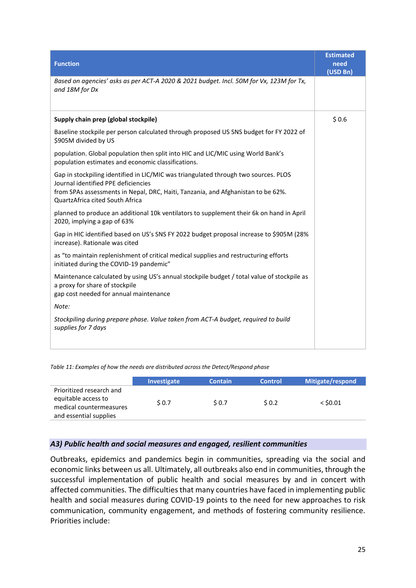|                                                                                                                                                                                                                                                   | <b>Estimated</b> |
|---------------------------------------------------------------------------------------------------------------------------------------------------------------------------------------------------------------------------------------------------|------------------|
| <b>Function</b>                                                                                                                                                                                                                                   | need<br>(USD Bn) |
| Based on agencies' asks as per ACT-A 2020 & 2021 budget. Incl. 50M for Vx, 123M for Tx,<br>and 18M for Dx                                                                                                                                         |                  |
| Supply chain prep (global stockpile)                                                                                                                                                                                                              | \$0.6            |
| Baseline stockpile per person calculated through proposed US SNS budget for FY 2022 of<br>\$905M divided by US                                                                                                                                    |                  |
| population. Global population then split into HIC and LIC/MIC using World Bank's<br>population estimates and economic classifications.                                                                                                            |                  |
| Gap in stockpiling identified in LIC/MIC was triangulated through two sources. PLOS<br>Journal identified PPE deficiencies<br>from SPAs assessments in Nepal, DRC, Haiti, Tanzania, and Afghanistan to be 62%.<br>QuartzAfrica cited South Africa |                  |
| planned to produce an additional 10k ventilators to supplement their 6k on hand in April<br>2020, implying a gap of 63%                                                                                                                           |                  |
| Gap in HIC identified based on US's SNS FY 2022 budget proposal increase to \$905M (28%<br>increase). Rationale was cited                                                                                                                         |                  |
| as "to maintain replenishment of critical medical supplies and restructuring efforts<br>initiated during the COVID-19 pandemic"                                                                                                                   |                  |
| Maintenance calculated by using US's annual stockpile budget / total value of stockpile as<br>a proxy for share of stockpile<br>gap cost needed for annual maintenance                                                                            |                  |
| Note:                                                                                                                                                                                                                                             |                  |
| Stockpiling during prepare phase. Value taken from ACT-A budget, required to build<br>supplies for 7 days                                                                                                                                         |                  |

#### *Table 11: Examples of how the needs are distributed across the Detect/Respond phase*

|                                                                                                      | <b>Investigate</b> | <b>Contain</b> | <b>Control</b> | Mitigate/respond |
|------------------------------------------------------------------------------------------------------|--------------------|----------------|----------------|------------------|
| Prioritized research and<br>equitable access to<br>medical countermeasures<br>and essential supplies | \$0.7              | \$0.7          | \$0.2\$        | $<$ \$0.01       |
|                                                                                                      |                    |                |                |                  |

# *A3) Public health and social measures and engaged, resilient communities*

Outbreaks, epidemics and pandemics begin in communities, spreading via the social and economic links between us all. Ultimately, all outbreaks also end in communities, through the successful implementation of public health and social measures by and in concert with affected communities. The difficulties that many countries have faced in implementing public health and social measures during COVID-19 points to the need for new approaches to risk communication, community engagement, and methods of fostering community resilience. Priorities include: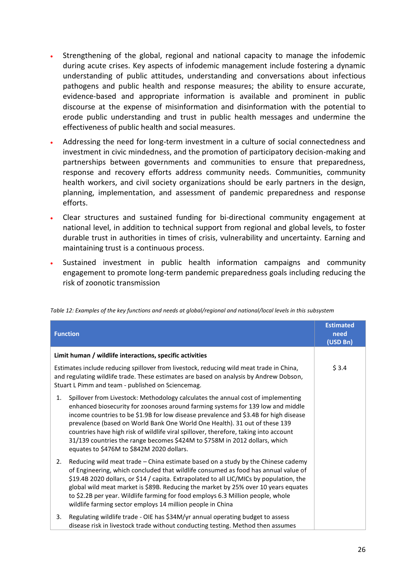- Strengthening of the global, regional and national capacity to manage the infodemic during acute crises. Key aspects of infodemic management include fostering a dynamic understanding of public attitudes, understanding and conversations about infectious pathogens and public health and response measures; the ability to ensure accurate, evidence-based and appropriate information is available and prominent in public discourse at the expense of misinformation and disinformation with the potential to erode public understanding and trust in public health messages and undermine the effectiveness of public health and social measures.
- Addressing the need for long-term investment in a culture of social connectedness and investment in civic mindedness, and the promotion of participatory decision-making and partnerships between governments and communities to ensure that preparedness, response and recovery efforts address community needs. Communities, community health workers, and civil society organizations should be early partners in the design, planning, implementation, and assessment of pandemic preparedness and response efforts.
- Clear structures and sustained funding for bi-directional community engagement at national level, in addition to technical support from regional and global levels, to foster durable trust in authorities in times of crisis, vulnerability and uncertainty. Earning and maintaining trust is a continuous process.
- Sustained investment in public health information campaigns and community engagement to promote long-term pandemic preparedness goals including reducing the risk of zoonotic transmission

| <b>Function</b>                                                                                                                                                                                                                                                                                                                                                                                                                                                                                                                                                    | <b>Estimated</b><br>need<br>(USD Bn) |
|--------------------------------------------------------------------------------------------------------------------------------------------------------------------------------------------------------------------------------------------------------------------------------------------------------------------------------------------------------------------------------------------------------------------------------------------------------------------------------------------------------------------------------------------------------------------|--------------------------------------|
| Limit human / wildlife interactions, specific activities                                                                                                                                                                                                                                                                                                                                                                                                                                                                                                           |                                      |
| Estimates include reducing spillover from livestock, reducing wild meat trade in China,<br>and regulating wildlife trade. These estimates are based on analysis by Andrew Dobson,<br>Stuart L Pimm and team - published on Sciencemag.                                                                                                                                                                                                                                                                                                                             | \$3.4                                |
| Spillover from Livestock: Methodology calculates the annual cost of implementing<br>1.<br>enhanced biosecurity for zoonoses around farming systems for 139 low and middle<br>income countries to be \$1.9B for low disease prevalence and \$3.4B for high disease<br>prevalence (based on World Bank One World One Health). 31 out of these 139<br>countries have high risk of wildlife viral spillover, therefore, taking into account<br>31/139 countries the range becomes \$424M to \$758M in 2012 dollars, which<br>equates to \$476M to \$842M 2020 dollars. |                                      |
| Reducing wild meat trade - China estimate based on a study by the Chinese cademy<br>2.<br>of Engineering, which concluded that wildlife consumed as food has annual value of<br>\$19.4B 2020 dollars, or \$14 / capita. Extrapolated to all LIC/MICs by population, the<br>global wild meat market is \$89B. Reducing the market by 25% over 10 years equates<br>to \$2.2B per year. Wildlife farming for food employs 6.3 Million people, whole<br>wildlife farming sector employs 14 million people in China                                                     |                                      |
| Regulating wildlife trade - OIE has \$34M/yr annual operating budget to assess<br>3.<br>disease risk in livestock trade without conducting testing. Method then assumes                                                                                                                                                                                                                                                                                                                                                                                            |                                      |

*Table 12: Examples of the key functions and needs at global/regional and national/local levels in this subsystem*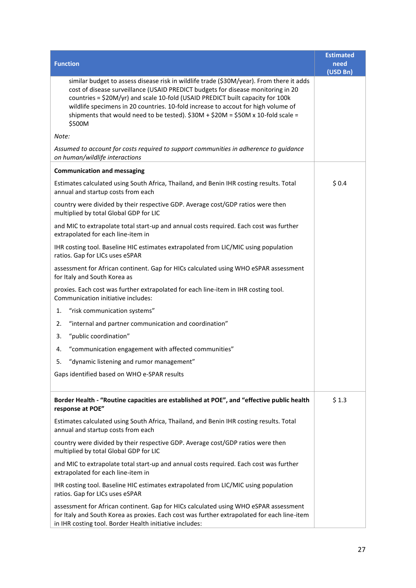| <b>Function</b>                                                                                                                                                                                                                                                                                                                                                                                                                                        | <b>Estimated</b><br>need<br>(USD Bn) |
|--------------------------------------------------------------------------------------------------------------------------------------------------------------------------------------------------------------------------------------------------------------------------------------------------------------------------------------------------------------------------------------------------------------------------------------------------------|--------------------------------------|
| similar budget to assess disease risk in wildlife trade (\$30M/year). From there it adds<br>cost of disease surveillance (USAID PREDICT budgets for disease monitoring in 20<br>countries = \$20M/yr) and scale 10-fold (USAID PREDICT built capacity for 100k<br>wildlife specimens in 20 countries. 10-fold increase to accout for high volume of<br>shipments that would need to be tested). $$30M + $20M = $50M \times 10$ -fold scale =<br>\$500M |                                      |
| Note:                                                                                                                                                                                                                                                                                                                                                                                                                                                  |                                      |
| Assumed to account for costs required to support communities in adherence to guidance<br>on human/wildlife interactions                                                                                                                                                                                                                                                                                                                                |                                      |
| <b>Communication and messaging</b>                                                                                                                                                                                                                                                                                                                                                                                                                     |                                      |
| Estimates calculated using South Africa, Thailand, and Benin IHR costing results. Total<br>annual and startup costs from each                                                                                                                                                                                                                                                                                                                          | \$0.4                                |
| country were divided by their respective GDP. Average cost/GDP ratios were then<br>multiplied by total Global GDP for LIC                                                                                                                                                                                                                                                                                                                              |                                      |
| and MIC to extrapolate total start-up and annual costs required. Each cost was further<br>extrapolated for each line-item in                                                                                                                                                                                                                                                                                                                           |                                      |
| IHR costing tool. Baseline HIC estimates extrapolated from LIC/MIC using population<br>ratios. Gap for LICs uses eSPAR                                                                                                                                                                                                                                                                                                                                 |                                      |
| assessment for African continent. Gap for HICs calculated using WHO eSPAR assessment<br>for Italy and South Korea as                                                                                                                                                                                                                                                                                                                                   |                                      |
| proxies. Each cost was further extrapolated for each line-item in IHR costing tool.<br>Communication initiative includes:                                                                                                                                                                                                                                                                                                                              |                                      |
| "risk communication systems"<br>1.                                                                                                                                                                                                                                                                                                                                                                                                                     |                                      |
| 2.<br>"internal and partner communication and coordination"                                                                                                                                                                                                                                                                                                                                                                                            |                                      |
| "public coordination"<br>3.                                                                                                                                                                                                                                                                                                                                                                                                                            |                                      |
| "communication engagement with affected communities"<br>4.                                                                                                                                                                                                                                                                                                                                                                                             |                                      |
| 5.<br>"dynamic listening and rumor management"                                                                                                                                                                                                                                                                                                                                                                                                         |                                      |
| Gaps identified based on WHO e-SPAR results                                                                                                                                                                                                                                                                                                                                                                                                            |                                      |
| Border Health - "Routine capacities are established at POE", and "effective public health<br>response at POE"                                                                                                                                                                                                                                                                                                                                          | \$1.3                                |
| Estimates calculated using South Africa, Thailand, and Benin IHR costing results. Total<br>annual and startup costs from each                                                                                                                                                                                                                                                                                                                          |                                      |
| country were divided by their respective GDP. Average cost/GDP ratios were then<br>multiplied by total Global GDP for LIC                                                                                                                                                                                                                                                                                                                              |                                      |
| and MIC to extrapolate total start-up and annual costs required. Each cost was further<br>extrapolated for each line-item in                                                                                                                                                                                                                                                                                                                           |                                      |
| IHR costing tool. Baseline HIC estimates extrapolated from LIC/MIC using population<br>ratios. Gap for LICs uses eSPAR                                                                                                                                                                                                                                                                                                                                 |                                      |
| assessment for African continent. Gap for HICs calculated using WHO eSPAR assessment<br>for Italy and South Korea as proxies. Each cost was further extrapolated for each line-item<br>in IHR costing tool. Border Health initiative includes:                                                                                                                                                                                                         |                                      |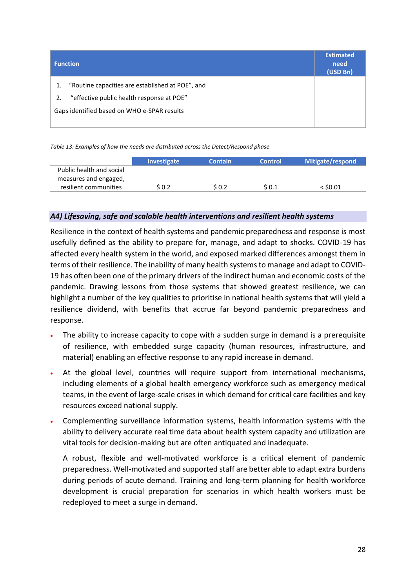|    | <b>Function</b>                                  | <b>Estimated</b><br>need<br>(USD Bn) |
|----|--------------------------------------------------|--------------------------------------|
| 1. | "Routine capacities are established at POE", and |                                      |
| 2. | "effective public health response at POE"        |                                      |
|    | Gaps identified based on WHO e-SPAR results      |                                      |
|    |                                                  |                                      |

*Table 13: Examples of how the needs are distributed across the Detect/Respond phase*

|                                                                            | <b>Investigate</b> | <b>Contain</b> | <b>Control</b> | Mitigate/respond |
|----------------------------------------------------------------------------|--------------------|----------------|----------------|------------------|
| Public health and social<br>measures and engaged,<br>resilient communities | S 0.2              | S 0.2          | S 0.1          | < S0.01          |
|                                                                            |                    |                |                |                  |

# *A4) Lifesaving, safe and scalable health interventions and resilient health systems*

Resilience in the context of health systems and pandemic preparedness and response is most usefully defined as the ability to prepare for, manage, and adapt to shocks. COVID-19 has affected every health system in the world, and exposed marked differences amongst them in terms of their resilience. The inability of many health systems to manage and adapt to COVID-19 has often been one of the primary drivers of the indirect human and economic costs of the pandemic. Drawing lessons from those systems that showed greatest resilience, we can highlight a number of the key qualities to prioritise in national health systems that will yield a resilience dividend, with benefits that accrue far beyond pandemic preparedness and response.

- The ability to increase capacity to cope with a sudden surge in demand is a prerequisite of resilience, with embedded surge capacity (human resources, infrastructure, and material) enabling an effective response to any rapid increase in demand.
- At the global level, countries will require support from international mechanisms, including elements of a global health emergency workforce such as emergency medical teams, in the event of large-scale crises in which demand for critical care facilities and key resources exceed national supply.
- Complementing surveillance information systems, health information systems with the ability to delivery accurate real time data about health system capacity and utilization are vital tools for decision-making but are often antiquated and inadequate.

A robust, flexible and well-motivated workforce is a critical element of pandemic preparedness. Well-motivated and supported staff are better able to adapt extra burdens during periods of acute demand. Training and long-term planning for health workforce development is crucial preparation for scenarios in which health workers must be redeployed to meet a surge in demand.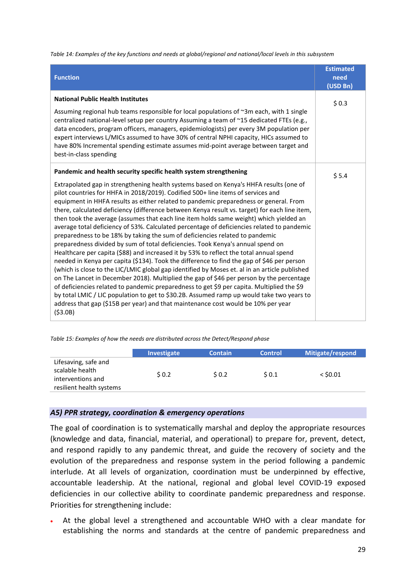*Table 14: Examples of the key functions and needs at global/regional and national/local levels in this subsystem*

| <b>Function</b>                                                                                                                                                                                                                                                                                                                                                                                                                                                                                                                                                                                                                                                                                                                                                                                                                                                                                                                                                                                                                                                                                                                                                                                                                                                                                                                                                                                                                                                                        | <b>Estimated</b><br>need<br>(USD Bn) |
|----------------------------------------------------------------------------------------------------------------------------------------------------------------------------------------------------------------------------------------------------------------------------------------------------------------------------------------------------------------------------------------------------------------------------------------------------------------------------------------------------------------------------------------------------------------------------------------------------------------------------------------------------------------------------------------------------------------------------------------------------------------------------------------------------------------------------------------------------------------------------------------------------------------------------------------------------------------------------------------------------------------------------------------------------------------------------------------------------------------------------------------------------------------------------------------------------------------------------------------------------------------------------------------------------------------------------------------------------------------------------------------------------------------------------------------------------------------------------------------|--------------------------------------|
| <b>National Public Health Institutes</b><br>Assuming regional hub teams responsible for local populations of ~3m each, with 1 single<br>centralized national-level setup per country Assuming a team of ~15 dedicated FTEs (e.g.,<br>data encoders, program officers, managers, epidemiologists) per every 3M population per<br>expert interviews L/MICs assumed to have 30% of central NPHI capacity, HICs assumed to<br>have 80% Incremental spending estimate assumes mid-point average between target and<br>best-in-class spending                                                                                                                                                                                                                                                                                                                                                                                                                                                                                                                                                                                                                                                                                                                                                                                                                                                                                                                                                | \$0.3                                |
| Pandemic and health security specific health system strengthening<br>Extrapolated gap in strengthening health systems based on Kenya's HHFA results (one of<br>pilot countries for HHFA in 2018/2019). Codified 500+ line items of services and<br>equipment in HHFA results as either related to pandemic preparedness or general. From<br>there, calculated deficiency (difference between Kenya result vs. target) for each line item,<br>then took the average (assumes that each line item holds same weight) which yielded an<br>average total deficiency of 53%. Calculated percentage of deficiencies related to pandemic<br>preparedness to be 18% by taking the sum of deficiencies related to pandemic<br>preparedness divided by sum of total deficiencies. Took Kenya's annual spend on<br>Healthcare per capita (\$88) and increased it by 53% to reflect the total annual spend<br>needed in Kenya per capita (\$134). Took the difference to find the gap of \$46 per person<br>(which is close to the LIC/LMIC global gap identified by Moses et. al in an article published<br>on The Lancet in December 2018). Multiplied the gap of \$46 per person by the percentage<br>of deficiencies related to pandemic preparedness to get \$9 per capita. Multiplied the \$9<br>by total LMIC / LIC population to get to \$30.2B. Assumed ramp up would take two years to<br>address that gap (\$15B per year) and that maintenance cost would be 10% per year<br>( \$3.0B) | \$5.4                                |

*Table 15: Examples of how the needs are distributed across the Detect/Respond phase*

|                                                                                          | <b>Investigate</b> | <b>Contain</b> | <b>Control</b> | Mitigate/respond |
|------------------------------------------------------------------------------------------|--------------------|----------------|----------------|------------------|
| Lifesaving, safe and<br>scalable health<br>interventions and<br>resilient health systems | \$0.2              | \$0.2\$        | \$0.1          | $<$ \$0.01       |

#### *A5) PPR strategy, coordination & emergency operations*

The goal of coordination is to systematically marshal and deploy the appropriate resources (knowledge and data, financial, material, and operational) to prepare for, prevent, detect, and respond rapidly to any pandemic threat, and guide the recovery of society and the evolution of the preparedness and response system in the period following a pandemic interlude. At all levels of organization, coordination must be underpinned by effective, accountable leadership. At the national, regional and global level COVID-19 exposed deficiencies in our collective ability to coordinate pandemic preparedness and response. Priorities for strengthening include:

At the global level a strengthened and accountable WHO with a clear mandate for establishing the norms and standards at the centre of pandemic preparedness and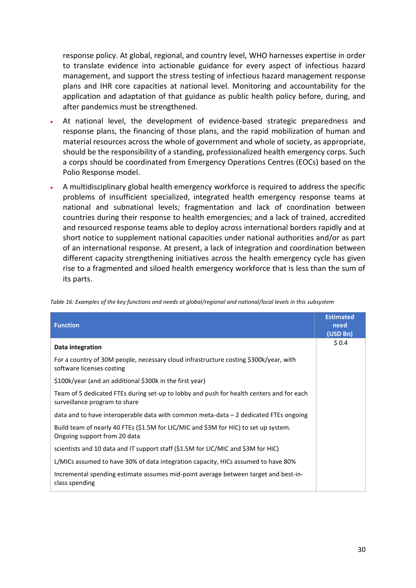response policy. At global, regional, and country level, WHO harnesses expertise in order to translate evidence into actionable guidance for every aspect of infectious hazard management, and support the stress testing of infectious hazard management response plans and IHR core capacities at national level. Monitoring and accountability for the application and adaptation of that guidance as public health policy before, during, and after pandemics must be strengthened.

- At national level, the development of evidence-based strategic preparedness and response plans, the financing of those plans, and the rapid mobilization of human and material resources across the whole of government and whole of society, as appropriate, should be the responsibility of a standing, professionalized health emergency corps. Such a corps should be coordinated from Emergency Operations Centres (EOCs) based on the Polio Response model.
- A multidisciplinary global health emergency workforce is required to address the specific problems of insufficient specialized, integrated health emergency response teams at national and subnational levels; fragmentation and lack of coordination between countries during their response to health emergencies; and a lack of trained, accredited and resourced response teams able to deploy across international borders rapidly and at short notice to supplement national capacities under national authorities and/or as part of an international response. At present, a lack of integration and coordination between different capacity strengthening initiatives across the health emergency cycle has given rise to a fragmented and siloed health emergency workforce that is less than the sum of its parts.

| <b>Function</b>                                                                                                           | <b>Estimated</b><br>need<br>(USD Bn) |
|---------------------------------------------------------------------------------------------------------------------------|--------------------------------------|
| Data integration                                                                                                          | \$0.4                                |
| For a country of 30M people, necessary cloud infrastructure costing \$300k/year, with<br>software licenses costing        |                                      |
| \$100k/year (and an additional \$300k in the first year)                                                                  |                                      |
| Team of 5 dedicated FTEs during set-up to lobby and push for health centers and for each<br>surveillance program to share |                                      |
| data and to have interoperable data with common meta-data $-2$ dedicated FTEs ongoing                                     |                                      |
| Build team of nearly 40 FTEs (\$1.5M for LIC/MIC and \$3M for HIC) to set up system.<br>Ongoing support from 20 data      |                                      |
| scientists and 10 data and IT support staff (\$1.5M for LIC/MIC and \$3M for HIC)                                         |                                      |
| L/MICs assumed to have 30% of data integration capacity, HICs assumed to have 80%                                         |                                      |
| Incremental spending estimate assumes mid-point average between target and best-in-<br>class spending                     |                                      |

*Table 16: Examples of the key functions and needs at global/regional and national/local levels in this subsystem*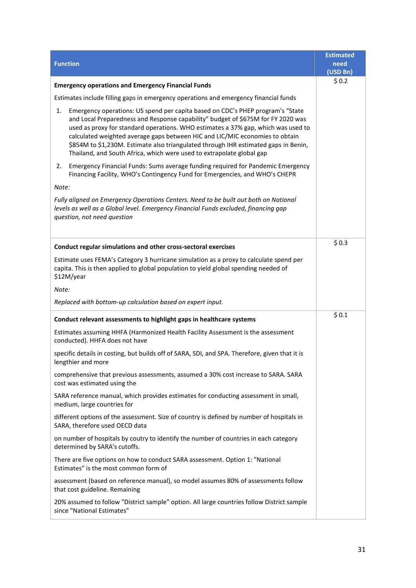| <b>Function</b>                                                                                                                                                                                                                                                                                                                                                                                                                                                                                               | <b>Estimated</b><br>need<br>(USD Bn) |
|---------------------------------------------------------------------------------------------------------------------------------------------------------------------------------------------------------------------------------------------------------------------------------------------------------------------------------------------------------------------------------------------------------------------------------------------------------------------------------------------------------------|--------------------------------------|
| <b>Emergency operations and Emergency Financial Funds</b>                                                                                                                                                                                                                                                                                                                                                                                                                                                     | \$0.2\$                              |
| Estimates include filling gaps in emergency operations and emergency financial funds                                                                                                                                                                                                                                                                                                                                                                                                                          |                                      |
| Emergency operations: US spend per capita based on CDC's PHEP program's "State<br>1.<br>and Local Preparedness and Response capability" budget of \$675M for FY 2020 was<br>used as proxy for standard operations. WHO estimates a 37% gap, which was used to<br>calculated weighted average gaps between HIC and LIC/MIC economies to obtain<br>\$854M to \$1,230M. Estimate also triangulated through IHR estimated gaps in Benin,<br>Thailand, and South Africa, which were used to extrapolate global gap |                                      |
| Emergency Financial Funds: Sums average funding required for Pandemic Emergency<br>2.<br>Financing Facility, WHO's Contingency Fund for Emergencies, and WHO's CHEPR                                                                                                                                                                                                                                                                                                                                          |                                      |
| Note:                                                                                                                                                                                                                                                                                                                                                                                                                                                                                                         |                                      |
| Fully aligned on Emergency Operations Centers. Need to be built out both on National<br>levels as well as a Global level. Emergency Financial Funds excluded, financing gap<br>question, not need question                                                                                                                                                                                                                                                                                                    |                                      |
| Conduct regular simulations and other cross-sectoral exercises                                                                                                                                                                                                                                                                                                                                                                                                                                                | \$0.3                                |
| Estimate uses FEMA's Category 3 hurricane simulation as a proxy to calculate spend per<br>capita. This is then applied to global population to yield global spending needed of<br>\$12M/year                                                                                                                                                                                                                                                                                                                  |                                      |
| Note:                                                                                                                                                                                                                                                                                                                                                                                                                                                                                                         |                                      |
| Replaced with bottom-up calculation based on expert input.                                                                                                                                                                                                                                                                                                                                                                                                                                                    |                                      |
| Conduct relevant assessments to highlight gaps in healthcare systems                                                                                                                                                                                                                                                                                                                                                                                                                                          | \$0.1                                |
| Estimates assuming HHFA (Harmonized Health Facility Assessment is the assessment<br>conducted). HHFA does not have                                                                                                                                                                                                                                                                                                                                                                                            |                                      |
| specific details in costing, but builds off of SARA, SDI, and SPA. Therefore, given that it is<br>lengthier and more                                                                                                                                                                                                                                                                                                                                                                                          |                                      |
| comprehensive that previous assessments, assumed a 30% cost increase to SARA. SARA<br>cost was estimated using the                                                                                                                                                                                                                                                                                                                                                                                            |                                      |
| SARA reference manual, which provides estimates for conducting assessment in small,<br>medium, large countries for                                                                                                                                                                                                                                                                                                                                                                                            |                                      |
| different options of the assessment. Size of country is defined by number of hospitals in<br>SARA, therefore used OECD data                                                                                                                                                                                                                                                                                                                                                                                   |                                      |
| on number of hospitals by coutry to identify the number of countries in each category<br>determined by SARA's cutoffs.                                                                                                                                                                                                                                                                                                                                                                                        |                                      |
| There are five options on how to conduct SARA assessment. Option 1: "National<br>Estimates" is the most common form of                                                                                                                                                                                                                                                                                                                                                                                        |                                      |
| assessment (based on reference manual), so model assumes 80% of assessments follow<br>that cost guideline. Remaining                                                                                                                                                                                                                                                                                                                                                                                          |                                      |
| 20% assumed to follow "District sample" option. All large countries follow District sample<br>since "National Estimates"                                                                                                                                                                                                                                                                                                                                                                                      |                                      |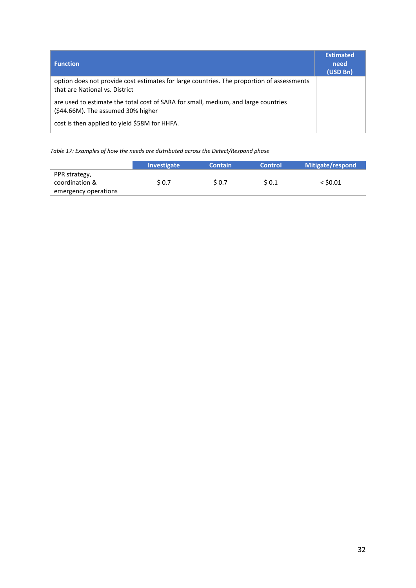| <b>Function</b>                                                                                                             | <b>Estimated</b><br>need<br>(USD Bn) |
|-----------------------------------------------------------------------------------------------------------------------------|--------------------------------------|
| option does not provide cost estimates for large countries. The proportion of assessments<br>that are National vs. District |                                      |
| are used to estimate the total cost of SARA for small, medium, and large countries<br>(\$44.66M). The assumed 30% higher    |                                      |
| cost is then applied to yield \$58M for HHFA.                                                                               |                                      |

*Table 17: Examples of how the needs are distributed across the Detect/Respond phase*

|                      | <b>Investigate</b> | <b>Contain</b> | Control | Mitigate/respond |
|----------------------|--------------------|----------------|---------|------------------|
| PPR strategy,        |                    |                |         |                  |
| coordination &       | \$ 0.7             | S 0.7          | S 0.1   | < \$0.01         |
| emergency operations |                    |                |         |                  |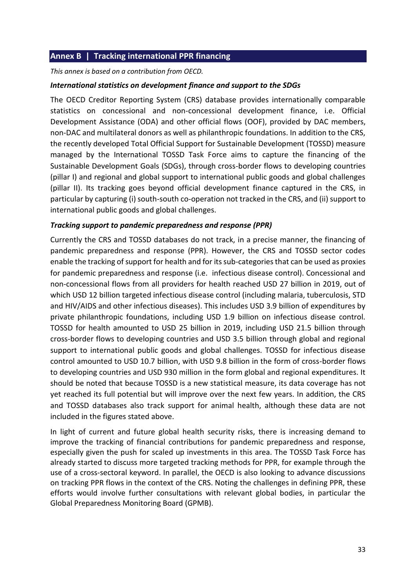# **Annex B | Tracking international PPR financing**

*This annex is based on a contribution from OECD.*

#### *International statistics on development finance and support to the SDGs*

The OECD Creditor Reporting System (CRS) database provides internationally comparable statistics on concessional and non-concessional development finance, i.e. Official Development Assistance (ODA) and other official flows (OOF), provided by DAC members, non-DAC and multilateral donors as well as philanthropic foundations. In addition to the CRS, the recently developed Total Official Support for Sustainable Development (TOSSD) measure managed by the International TOSSD Task Force aims to capture the financing of the Sustainable Development Goals (SDGs), through cross-border flows to developing countries (pillar I) and regional and global support to international public goods and global challenges (pillar II). Its tracking goes beyond official development finance captured in the CRS, in particular by capturing (i) south-south co-operation not tracked in the CRS, and (ii) support to international public goods and global challenges.

#### *Tracking support to pandemic preparedness and response (PPR)*

Currently the CRS and TOSSD databases do not track, in a precise manner, the financing of pandemic preparedness and response (PPR). However, the CRS and TOSSD sector codes enable the tracking of support for health and for its sub-categories that can be used as proxies for pandemic preparedness and response (i.e. infectious disease control). Concessional and non-concessional flows from all providers for health reached USD 27 billion in 2019, out of which USD 12 billion targeted infectious disease control (including malaria, tuberculosis, STD and HIV/AIDS and other infectious diseases). This includes USD 3.9 billion of expenditures by private philanthropic foundations, including USD 1.9 billion on infectious disease control. TOSSD for health amounted to USD 25 billion in 2019, including USD 21.5 billion through cross-border flows to developing countries and USD 3.5 billion through global and regional support to international public goods and global challenges. TOSSD for infectious disease control amounted to USD 10.7 billion, with USD 9.8 billion in the form of cross-border flows to developing countries and USD 930 million in the form global and regional expenditures. It should be noted that because TOSSD is a new statistical measure, its data coverage has not yet reached its full potential but will improve over the next few years. In addition, the CRS and TOSSD databases also track support for animal health, although these data are not included in the figures stated above.

In light of current and future global health security risks, there is increasing demand to improve the tracking of financial contributions for pandemic preparedness and response, especially given the push for scaled up investments in this area. The TOSSD Task Force has already started to discuss more targeted tracking methods for PPR, for example through the use of a cross-sectoral keyword. In parallel, the OECD is also looking to advance discussions on tracking PPR flows in the context of the CRS. Noting the challenges in defining PPR, these efforts would involve further consultations with relevant global bodies, in particular the Global Preparedness Monitoring Board (GPMB).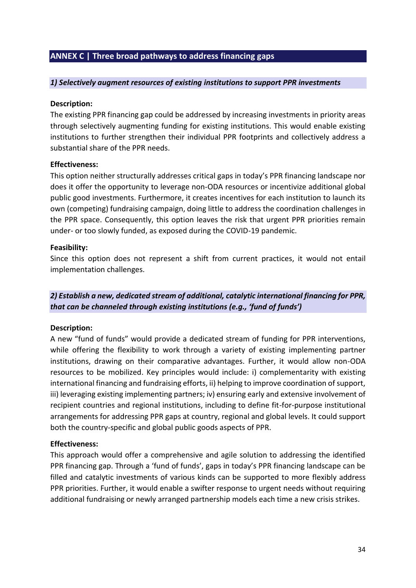# **ANNEX C | Three broad pathways to address financing gaps**

#### *1) Selectively augment resources of existing institutions to support PPR investments*

#### **Description:**

The existing PPR financing gap could be addressed by increasing investments in priority areas through selectively augmenting funding for existing institutions. This would enable existing institutions to further strengthen their individual PPR footprints and collectively address a substantial share of the PPR needs.

#### **Effectiveness:**

This option neither structurally addresses critical gaps in today's PPR financing landscape nor does it offer the opportunity to leverage non-ODA resources or incentivize additional global public good investments. Furthermore, it creates incentives for each institution to launch its own (competing) fundraising campaign, doing little to address the coordination challenges in the PPR space. Consequently, this option leaves the risk that urgent PPR priorities remain under- or too slowly funded, as exposed during the COVID-19 pandemic.

#### **Feasibility:**

Since this option does not represent a shift from current practices, it would not entail implementation challenges.

*2) Establish a new, dedicated stream of additional, catalytic international financing for PPR, that can be channeled through existing institutions (e.g., 'fund of funds')*

#### **Description:**

A new "fund of funds" would provide a dedicated stream of funding for PPR interventions, while offering the flexibility to work through a variety of existing implementing partner institutions, drawing on their comparative advantages. Further, it would allow non-ODA resources to be mobilized. Key principles would include: i) complementarity with existing international financing and fundraising efforts, ii) helping to improve coordination of support, iii) leveraging existing implementing partners; iv) ensuring early and extensive involvement of recipient countries and regional institutions, including to define fit-for-purpose institutional arrangements for addressing PPR gaps at country, regional and global levels. It could support both the country-specific and global public goods aspects of PPR.

#### **Effectiveness:**

This approach would offer a comprehensive and agile solution to addressing the identified PPR financing gap. Through a 'fund of funds', gaps in today's PPR financing landscape can be filled and catalytic investments of various kinds can be supported to more flexibly address PPR priorities. Further, it would enable a swifter response to urgent needs without requiring additional fundraising or newly arranged partnership models each time a new crisis strikes.